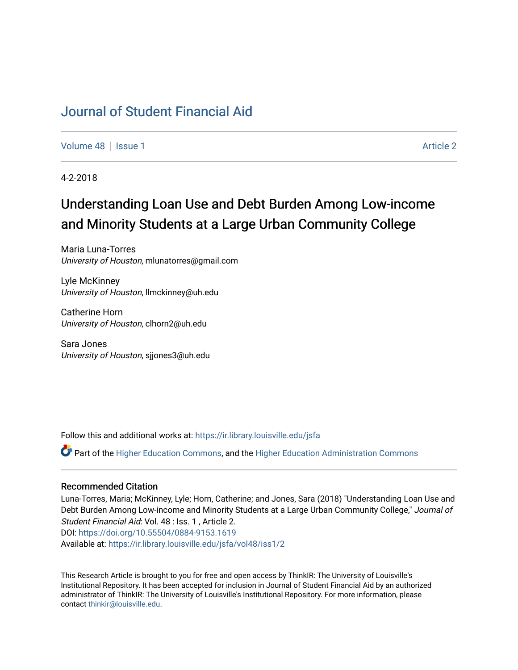## [Journal of Student Financial Aid](https://ir.library.louisville.edu/jsfa)

[Volume 48](https://ir.library.louisville.edu/jsfa/vol48) | [Issue 1](https://ir.library.louisville.edu/jsfa/vol48/iss1) [Article 2](https://ir.library.louisville.edu/jsfa/vol48/iss1/2) Article 2 Article 2 Article 2 Article 2 Article 2 Article 2 Article 2 Article 2

4-2-2018

# Understanding Loan Use and Debt Burden Among Low-income and Minority Students at a Large Urban Community College

Maria Luna-Torres University of Houston, mlunatorres@gmail.com

Lyle McKinney University of Houston, llmckinney@uh.edu

Catherine Horn University of Houston, clhorn2@uh.edu

Sara Jones University of Houston, sjjones3@uh.edu

Follow this and additional works at: [https://ir.library.louisville.edu/jsfa](https://ir.library.louisville.edu/jsfa?utm_source=ir.library.louisville.edu%2Fjsfa%2Fvol48%2Fiss1%2F2&utm_medium=PDF&utm_campaign=PDFCoverPages) 

Part of the [Higher Education Commons,](http://network.bepress.com/hgg/discipline/1245?utm_source=ir.library.louisville.edu%2Fjsfa%2Fvol48%2Fiss1%2F2&utm_medium=PDF&utm_campaign=PDFCoverPages) and the [Higher Education Administration Commons](http://network.bepress.com/hgg/discipline/791?utm_source=ir.library.louisville.edu%2Fjsfa%2Fvol48%2Fiss1%2F2&utm_medium=PDF&utm_campaign=PDFCoverPages) 

#### Recommended Citation

Luna-Torres, Maria; McKinney, Lyle; Horn, Catherine; and Jones, Sara (2018) "Understanding Loan Use and Debt Burden Among Low-income and Minority Students at a Large Urban Community College," Journal of Student Financial Aid: Vol. 48 : Iss. 1 , Article 2. DOI:<https://doi.org/10.55504/0884-9153.1619> Available at: [https://ir.library.louisville.edu/jsfa/vol48/iss1/2](https://ir.library.louisville.edu/jsfa/vol48/iss1/2?utm_source=ir.library.louisville.edu%2Fjsfa%2Fvol48%2Fiss1%2F2&utm_medium=PDF&utm_campaign=PDFCoverPages) 

This Research Article is brought to you for free and open access by ThinkIR: The University of Louisville's Institutional Repository. It has been accepted for inclusion in Journal of Student Financial Aid by an authorized administrator of ThinkIR: The University of Louisville's Institutional Repository. For more information, please contact [thinkir@louisville.edu](mailto:thinkir@louisville.edu).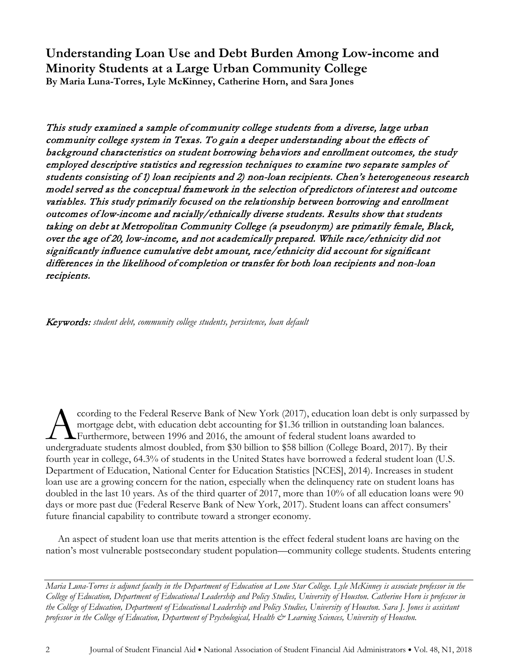**Understanding Loan Use and Debt Burden Among Low-income and Minority Students at a Large Urban Community College By Maria Luna-Torres, Lyle McKinney, Catherine Horn, and Sara Jones**

This study examined a sample of community college students from a diverse, large urban community college system in Texas. To gain a deeper understanding about the effects of background characteristics on student borrowing behaviors and enrollment outcomes, the study employed descriptive statistics and regression techniques to examine two separate samples of students consisting of 1) loan recipients and 2) non-loan recipients. Chen's heterogeneous research model served as the conceptual framework in the selection of predictors of interest and outcome variables. This study primarily focused on the relationship between borrowing and enrollment outcomes of low-income and racially/ethnically diverse students. Results show that students taking on debt at Metropolitan Community College (a pseudonym) are primarily female, Black, over the age of 20, low-income, and not academically prepared. While race/ethnicity did not significantly influence cumulative debt amount, race/ethnicity did account for significant differences in the likelihood of completion or transfer for both loan recipients and non-loan recipients.

Keywords: *student debt, community college students, persistence, loan default*

ccording to the Federal Reserve Bank of New York (2017), education loan debt is only surpassed by mortgage debt, with education debt accounting for \$1.36 trillion in outstanding loan balances. Furthermore, between 1996 and 2016, the amount of federal student loans awarded to cording to the Federal Reserve Bank of New York (2017), education loan debt is only surpasse<br>mortgage debt, with education debt accounting for \$1.36 trillion in outstanding loan balances.<br>Furthermore, between 1996 and 2016 fourth year in college, 64.3% of students in the United States have borrowed a federal student loan (U.S. Department of Education, National Center for Education Statistics [NCES], 2014). Increases in student loan use are a growing concern for the nation, especially when the delinquency rate on student loans has doubled in the last 10 years. As of the third quarter of 2017, more than 10% of all education loans were 90 days or more past due (Federal Reserve Bank of New York, 2017). Student loans can affect consumers' future financial capability to contribute toward a stronger economy.

An aspect of student loan use that merits attention is the effect federal student loans are having on the nation's most vulnerable postsecondary student population—community college students. Students entering

*Maria Luna-Torres is adjunct faculty in the Department of Education at Lone Star College. Lyle McKinney is associate professor in the College of Education, Department of Educational Leadership and Policy Studies, University of Houston. Catherine Horn is professor in the College of Education, Department of Educational Leadership and Policy Studies, University of Houston. Sara J. Jones is assistant professor in the College of Education, Department of Psychological, Health & Learning Sciences, University of Houston.*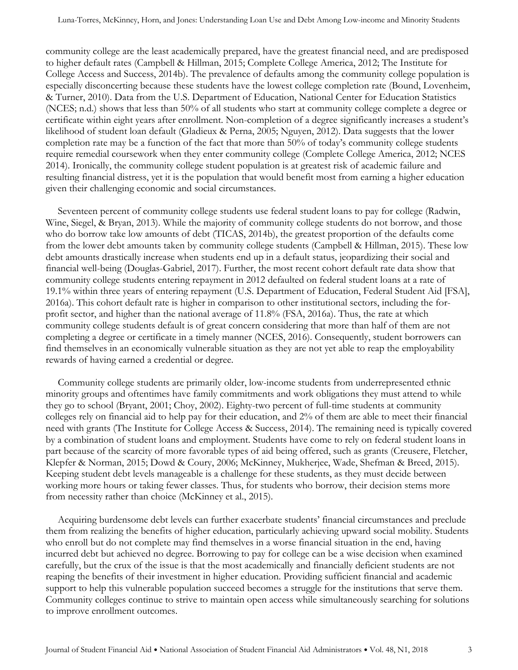community college are the least academically prepared, have the greatest financial need, and are predisposed to higher default rates (Campbell & Hillman, 2015; Complete College America, 2012; The Institute for College Access and Success, 2014b). The prevalence of defaults among the community college population is especially disconcerting because these students have the lowest college completion rate (Bound, Lovenheim, & Turner, 2010). Data from the U.S. Department of Education, National Center for Education Statistics (NCES; n.d.) shows that less than 50% of all students who start at community college complete a degree or certificate within eight years after enrollment. Non-completion of a degree significantly increases a student's likelihood of student loan default (Gladieux & Perna, 2005; Nguyen, 2012). Data suggests that the lower completion rate may be a function of the fact that more than 50% of today's community college students require remedial coursework when they enter community college (Complete College America, 2012; NCES 2014). Ironically, the community college student population is at greatest risk of academic failure and resulting financial distress, yet it is the population that would benefit most from earning a higher education given their challenging economic and social circumstances.

Seventeen percent of community college students use federal student loans to pay for college (Radwin, Wine, Siegel, & Bryan, 2013). While the majority of community college students do not borrow, and those who do borrow take low amounts of debt (TICAS, 2014b), the greatest proportion of the defaults come from the lower debt amounts taken by community college students (Campbell & Hillman, 2015). These low debt amounts drastically increase when students end up in a default status, jeopardizing their social and financial well-being (Douglas-Gabriel, 2017). Further, the most recent cohort default rate data show that community college students entering repayment in 2012 defaulted on federal student loans at a rate of 19.1% within three years of entering repayment (U.S. Department of Education, Federal Student Aid [FSA], 2016a). This cohort default rate is higher in comparison to other institutional sectors, including the forprofit sector, and higher than the national average of 11.8% (FSA, 2016a). Thus, the rate at which community college students default is of great concern considering that more than half of them are not completing a degree or certificate in a timely manner (NCES, 2016). Consequently, student borrowers can find themselves in an economically vulnerable situation as they are not yet able to reap the employability rewards of having earned a credential or degree.

Community college students are primarily older, low-income students from underrepresented ethnic minority groups and oftentimes have family commitments and work obligations they must attend to while they go to school (Bryant, 2001; Choy, 2002). Eighty-two percent of full-time students at community colleges rely on financial aid to help pay for their education, and 2% of them are able to meet their financial need with grants (The Institute for College Access & Success, 2014). The remaining need is typically covered by a combination of student loans and employment. Students have come to rely on federal student loans in part because of the scarcity of more favorable types of aid being offered, such as grants (Creusere, Fletcher, Klepfer & Norman, 2015; Dowd & Coury, 2006; McKinney, Mukherjee, Wade, Shefman & Breed, 2015). Keeping student debt levels manageable is a challenge for these students, as they must decide between working more hours or taking fewer classes. Thus, for students who borrow, their decision stems more from necessity rather than choice (McKinney et al., 2015).

Acquiring burdensome debt levels can further exacerbate students' financial circumstances and preclude them from realizing the benefits of higher education, particularly achieving upward social mobility. Students who enroll but do not complete may find themselves in a worse financial situation in the end, having incurred debt but achieved no degree. Borrowing to pay for college can be a wise decision when examined carefully, but the crux of the issue is that the most academically and financially deficient students are not reaping the benefits of their investment in higher education. Providing sufficient financial and academic support to help this vulnerable population succeed becomes a struggle for the institutions that serve them. Community colleges continue to strive to maintain open access while simultaneously searching for solutions to improve enrollment outcomes.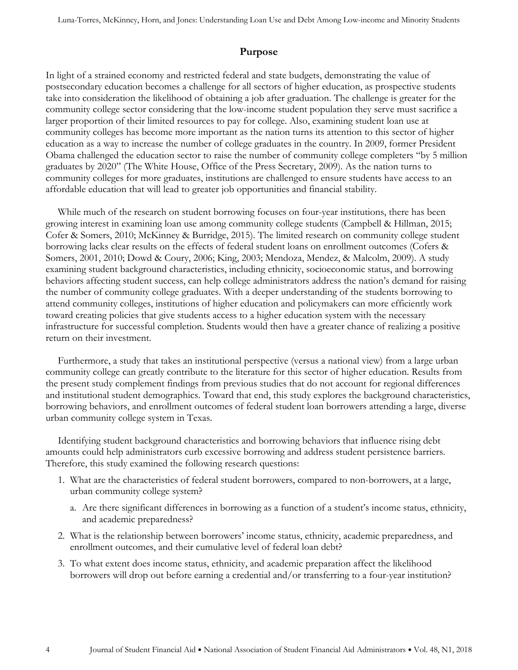## **Purpose**

In light of a strained economy and restricted federal and state budgets, demonstrating the value of postsecondary education becomes a challenge for all sectors of higher education, as prospective students take into consideration the likelihood of obtaining a job after graduation. The challenge is greater for the community college sector considering that the low-income student population they serve must sacrifice a larger proportion of their limited resources to pay for college. Also, examining student loan use at community colleges has become more important as the nation turns its attention to this sector of higher education as a way to increase the number of college graduates in the country. In 2009, former President Obama challenged the education sector to raise the number of community college completers "by 5 million graduates by 2020" (The White House, Office of the Press Secretary, 2009). As the nation turns to community colleges for more graduates, institutions are challenged to ensure students have access to an affordable education that will lead to greater job opportunities and financial stability.

While much of the research on student borrowing focuses on four-year institutions, there has been growing interest in examining loan use among community college students (Campbell & Hillman, 2015; Cofer & Somers, 2010; McKinney & Burridge, 2015). The limited research on community college student borrowing lacks clear results on the effects of federal student loans on enrollment outcomes (Cofers & Somers, 2001, 2010; Dowd & Coury, 2006; King, 2003; Mendoza, Mendez, & Malcolm, 2009). A study examining student background characteristics, including ethnicity, socioeconomic status, and borrowing behaviors affecting student success, can help college administrators address the nation's demand for raising the number of community college graduates. With a deeper understanding of the students borrowing to attend community colleges, institutions of higher education and policymakers can more efficiently work toward creating policies that give students access to a higher education system with the necessary infrastructure for successful completion. Students would then have a greater chance of realizing a positive return on their investment.

Furthermore, a study that takes an institutional perspective (versus a national view) from a large urban community college can greatly contribute to the literature for this sector of higher education. Results from the present study complement findings from previous studies that do not account for regional differences and institutional student demographics. Toward that end, this study explores the background characteristics, borrowing behaviors, and enrollment outcomes of federal student loan borrowers attending a large, diverse urban community college system in Texas.

Identifying student background characteristics and borrowing behaviors that influence rising debt amounts could help administrators curb excessive borrowing and address student persistence barriers. Therefore, this study examined the following research questions:

- 1. What are the characteristics of federal student borrowers, compared to non-borrowers, at a large, urban community college system?
	- a. Are there significant differences in borrowing as a function of a student's income status, ethnicity, and academic preparedness?
- 2. What is the relationship between borrowers' income status, ethnicity, academic preparedness, and enrollment outcomes, and their cumulative level of federal loan debt?
- 3. To what extent does income status, ethnicity, and academic preparation affect the likelihood borrowers will drop out before earning a credential and/or transferring to a four-year institution?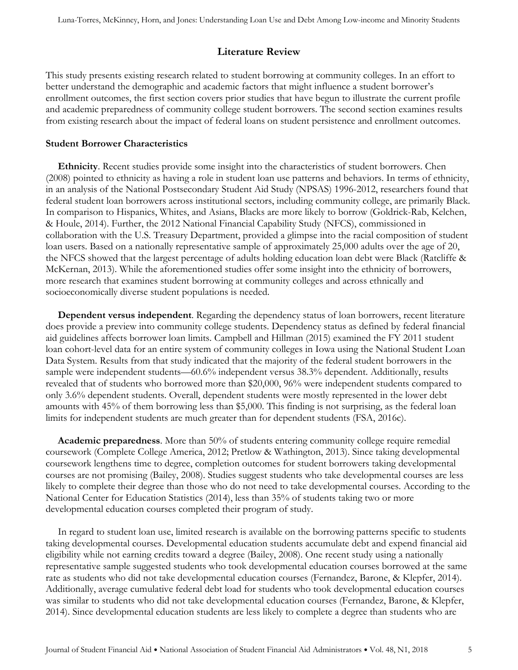## **Literature Review**

This study presents existing research related to student borrowing at community colleges. In an effort to better understand the demographic and academic factors that might influence a student borrower's enrollment outcomes, the first section covers prior studies that have begun to illustrate the current profile and academic preparedness of community college student borrowers. The second section examines results from existing research about the impact of federal loans on student persistence and enrollment outcomes.

#### **Student Borrower Characteristics**

**Ethnicity**. Recent studies provide some insight into the characteristics of student borrowers. Chen (2008) pointed to ethnicity as having a role in student loan use patterns and behaviors. In terms of ethnicity, in an analysis of the National Postsecondary Student Aid Study (NPSAS) 1996-2012, researchers found that federal student loan borrowers across institutional sectors, including community college, are primarily Black. In comparison to Hispanics, Whites, and Asians, Blacks are more likely to borrow (Goldrick-Rab, Kelchen, & Houle, 2014). Further, the 2012 National Financial Capability Study (NFCS), commissioned in collaboration with the U.S. Treasury Department, provided a glimpse into the racial composition of student loan users. Based on a nationally representative sample of approximately 25,000 adults over the age of 20, the NFCS showed that the largest percentage of adults holding education loan debt were Black (Ratcliffe & McKernan, 2013). While the aforementioned studies offer some insight into the ethnicity of borrowers, more research that examines student borrowing at community colleges and across ethnically and socioeconomically diverse student populations is needed.

**Dependent versus independent**. Regarding the dependency status of loan borrowers, recent literature does provide a preview into community college students. Dependency status as defined by federal financial aid guidelines affects borrower loan limits. Campbell and Hillman (2015) examined the FY 2011 student loan cohort-level data for an entire system of community colleges in Iowa using the National Student Loan Data System. Results from that study indicated that the majority of the federal student borrowers in the sample were independent students—60.6% independent versus 38.3% dependent. Additionally, results revealed that of students who borrowed more than \$20,000, 96% were independent students compared to only 3.6% dependent students. Overall, dependent students were mostly represented in the lower debt amounts with 45% of them borrowing less than \$5,000. This finding is not surprising, as the federal loan limits for independent students are much greater than for dependent students (FSA, 2016c).

**Academic preparedness**. More than 50% of students entering community college require remedial coursework (Complete College America, 2012; Pretlow & Wathington, 2013). Since taking developmental coursework lengthens time to degree, completion outcomes for student borrowers taking developmental courses are not promising (Bailey, 2008). Studies suggest students who take developmental courses are less likely to complete their degree than those who do not need to take developmental courses. According to the National Center for Education Statistics (2014), less than 35% of students taking two or more developmental education courses completed their program of study.

In regard to student loan use, limited research is available on the borrowing patterns specific to students taking developmental courses. Developmental education students accumulate debt and expend financial aid eligibility while not earning credits toward a degree (Bailey, 2008). One recent study using a nationally representative sample suggested students who took developmental education courses borrowed at the same rate as students who did not take developmental education courses (Fernandez, Barone, & Klepfer, 2014). Additionally, average cumulative federal debt load for students who took developmental education courses was similar to students who did not take developmental education courses (Fernandez, Barone, & Klepfer, 2014). Since developmental education students are less likely to complete a degree than students who are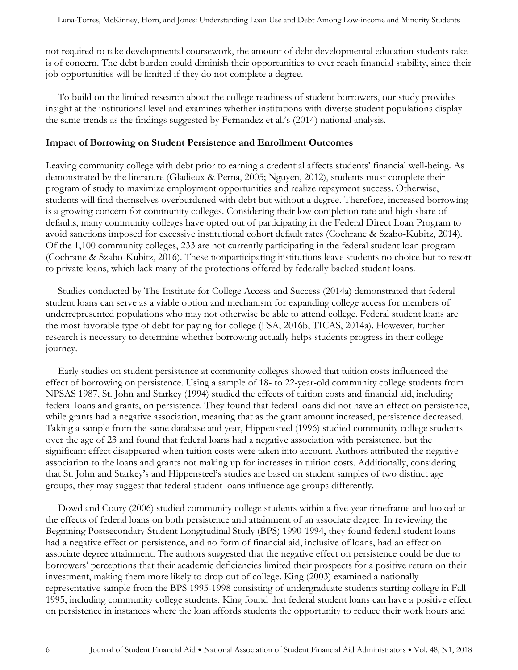not required to take developmental coursework, the amount of debt developmental education students take is of concern. The debt burden could diminish their opportunities to ever reach financial stability, since their job opportunities will be limited if they do not complete a degree.

To build on the limited research about the college readiness of student borrowers, our study provides insight at the institutional level and examines whether institutions with diverse student populations display the same trends as the findings suggested by Fernandez et al.'s (2014) national analysis.

#### **Impact of Borrowing on Student Persistence and Enrollment Outcomes**

Leaving community college with debt prior to earning a credential affects students' financial well-being. As demonstrated by the literature (Gladieux & Perna, 2005; Nguyen, 2012), students must complete their program of study to maximize employment opportunities and realize repayment success. Otherwise, students will find themselves overburdened with debt but without a degree. Therefore, increased borrowing is a growing concern for community colleges. Considering their low completion rate and high share of defaults, many community colleges have opted out of participating in the Federal Direct Loan Program to avoid sanctions imposed for excessive institutional cohort default rates (Cochrane & Szabo-Kubitz, 2014). Of the 1,100 community colleges, 233 are not currently participating in the federal student loan program (Cochrane & Szabo-Kubitz, 2016). These nonparticipating institutions leave students no choice but to resort to private loans, which lack many of the protections offered by federally backed student loans.

Studies conducted by The Institute for College Access and Success (2014a) demonstrated that federal student loans can serve as a viable option and mechanism for expanding college access for members of underrepresented populations who may not otherwise be able to attend college. Federal student loans are the most favorable type of debt for paying for college (FSA, 2016b, TICAS, 2014a). However, further research is necessary to determine whether borrowing actually helps students progress in their college journey.

Early studies on student persistence at community colleges showed that tuition costs influenced the effect of borrowing on persistence. Using a sample of 18- to 22-year-old community college students from NPSAS 1987, St. John and Starkey (1994) studied the effects of tuition costs and financial aid, including federal loans and grants, on persistence. They found that federal loans did not have an effect on persistence, while grants had a negative association, meaning that as the grant amount increased, persistence decreased. Taking a sample from the same database and year, Hippensteel (1996) studied community college students over the age of 23 and found that federal loans had a negative association with persistence, but the significant effect disappeared when tuition costs were taken into account. Authors attributed the negative association to the loans and grants not making up for increases in tuition costs. Additionally, considering that St. John and Starkey's and Hippensteel's studies are based on student samples of two distinct age groups, they may suggest that federal student loans influence age groups differently.

Dowd and Coury (2006) studied community college students within a five-year timeframe and looked at the effects of federal loans on both persistence and attainment of an associate degree. In reviewing the Beginning Postsecondary Student Longitudinal Study (BPS) 1990-1994, they found federal student loans had a negative effect on persistence, and no form of financial aid, inclusive of loans, had an effect on associate degree attainment. The authors suggested that the negative effect on persistence could be due to borrowers' perceptions that their academic deficiencies limited their prospects for a positive return on their investment, making them more likely to drop out of college. King (2003) examined a nationally representative sample from the BPS 1995-1998 consisting of undergraduate students starting college in Fall 1995, including community college students. King found that federal student loans can have a positive effect on persistence in instances where the loan affords students the opportunity to reduce their work hours and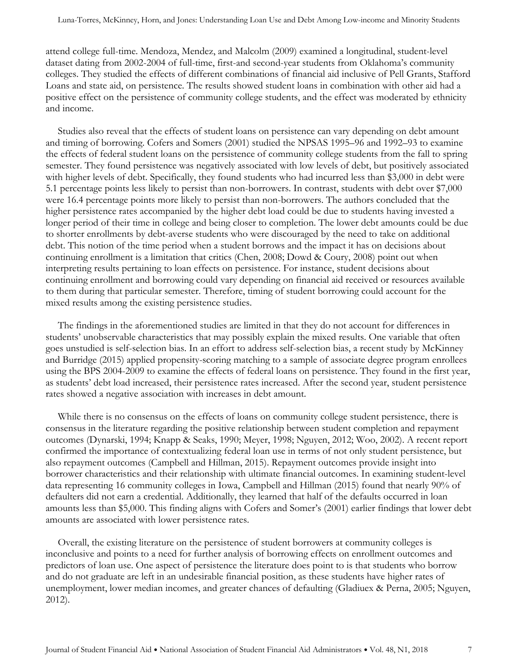attend college full-time. Mendoza, Mendez, and Malcolm (2009) examined a longitudinal, student-level dataset dating from 2002-2004 of full-time, first-and second-year students from Oklahoma's community colleges. They studied the effects of different combinations of financial aid inclusive of Pell Grants, Stafford Loans and state aid, on persistence. The results showed student loans in combination with other aid had a positive effect on the persistence of community college students, and the effect was moderated by ethnicity and income.

Studies also reveal that the effects of student loans on persistence can vary depending on debt amount and timing of borrowing. Cofers and Somers (2001) studied the NPSAS 1995–96 and 1992–93 to examine the effects of federal student loans on the persistence of community college students from the fall to spring semester. They found persistence was negatively associated with low levels of debt, but positively associated with higher levels of debt. Specifically, they found students who had incurred less than \$3,000 in debt were 5.1 percentage points less likely to persist than non-borrowers. In contrast, students with debt over \$7,000 were 16.4 percentage points more likely to persist than non-borrowers. The authors concluded that the higher persistence rates accompanied by the higher debt load could be due to students having invested a longer period of their time in college and being closer to completion. The lower debt amounts could be due to shorter enrollments by debt-averse students who were discouraged by the need to take on additional debt. This notion of the time period when a student borrows and the impact it has on decisions about continuing enrollment is a limitation that critics (Chen, 2008; Dowd & Coury, 2008) point out when interpreting results pertaining to loan effects on persistence. For instance, student decisions about continuing enrollment and borrowing could vary depending on financial aid received or resources available to them during that particular semester. Therefore, timing of student borrowing could account for the mixed results among the existing persistence studies.

The findings in the aforementioned studies are limited in that they do not account for differences in students' unobservable characteristics that may possibly explain the mixed results. One variable that often goes unstudied is self-selection bias. In an effort to address self-selection bias, a recent study by McKinney and Burridge (2015) applied propensity-scoring matching to a sample of associate degree program enrollees using the BPS 2004-2009 to examine the effects of federal loans on persistence. They found in the first year, as students' debt load increased, their persistence rates increased. After the second year, student persistence rates showed a negative association with increases in debt amount.

While there is no consensus on the effects of loans on community college student persistence, there is consensus in the literature regarding the positive relationship between student completion and repayment outcomes (Dynarski, 1994; Knapp & Seaks, 1990; Meyer, 1998; Nguyen, 2012; Woo, 2002). A recent report confirmed the importance of contextualizing federal loan use in terms of not only student persistence, but also repayment outcomes (Campbell and Hillman, 2015). Repayment outcomes provide insight into borrower characteristics and their relationship with ultimate financial outcomes. In examining student-level data representing 16 community colleges in Iowa, Campbell and Hillman (2015) found that nearly 90% of defaulters did not earn a credential. Additionally, they learned that half of the defaults occurred in loan amounts less than \$5,000. This finding aligns with Cofers and Somer's (2001) earlier findings that lower debt amounts are associated with lower persistence rates.

Overall, the existing literature on the persistence of student borrowers at community colleges is inconclusive and points to a need for further analysis of borrowing effects on enrollment outcomes and predictors of loan use. One aspect of persistence the literature does point to is that students who borrow and do not graduate are left in an undesirable financial position, as these students have higher rates of unemployment, lower median incomes, and greater chances of defaulting (Gladiuex & Perna, 2005; Nguyen, 2012).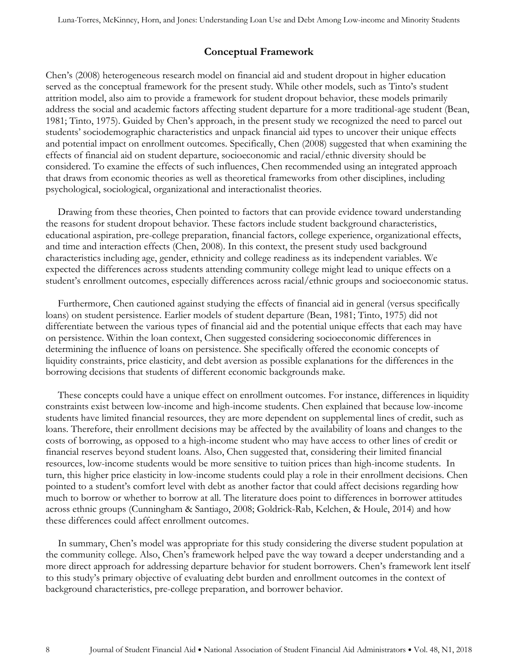## **Conceptual Framework**

Chen's (2008) heterogeneous research model on financial aid and student dropout in higher education served as the conceptual framework for the present study. While other models, such as Tinto's student attrition model, also aim to provide a framework for student dropout behavior, these models primarily address the social and academic factors affecting student departure for a more traditional-age student (Bean, 1981; Tinto, 1975). Guided by Chen's approach, in the present study we recognized the need to parcel out students' sociodemographic characteristics and unpack financial aid types to uncover their unique effects and potential impact on enrollment outcomes. Specifically, Chen (2008) suggested that when examining the effects of financial aid on student departure, socioeconomic and racial/ethnic diversity should be considered. To examine the effects of such influences, Chen recommended using an integrated approach that draws from economic theories as well as theoretical frameworks from other disciplines, including psychological, sociological, organizational and interactionalist theories.

Drawing from these theories, Chen pointed to factors that can provide evidence toward understanding the reasons for student dropout behavior. These factors include student background characteristics, educational aspiration, pre-college preparation, financial factors, college experience, organizational effects, and time and interaction effects (Chen, 2008). In this context, the present study used background characteristics including age, gender, ethnicity and college readiness as its independent variables. We expected the differences across students attending community college might lead to unique effects on a student's enrollment outcomes, especially differences across racial/ethnic groups and socioeconomic status.

Furthermore, Chen cautioned against studying the effects of financial aid in general (versus specifically loans) on student persistence. Earlier models of student departure (Bean, 1981; Tinto, 1975) did not differentiate between the various types of financial aid and the potential unique effects that each may have on persistence. Within the loan context, Chen suggested considering socioeconomic differences in determining the influence of loans on persistence. She specifically offered the economic concepts of liquidity constraints, price elasticity, and debt aversion as possible explanations for the differences in the borrowing decisions that students of different economic backgrounds make.

These concepts could have a unique effect on enrollment outcomes. For instance, differences in liquidity constraints exist between low-income and high-income students. Chen explained that because low-income students have limited financial resources, they are more dependent on supplemental lines of credit, such as loans. Therefore, their enrollment decisions may be affected by the availability of loans and changes to the costs of borrowing, as opposed to a high-income student who may have access to other lines of credit or financial reserves beyond student loans. Also, Chen suggested that, considering their limited financial resources, low-income students would be more sensitive to tuition prices than high-income students. In turn, this higher price elasticity in low-income students could play a role in their enrollment decisions. Chen pointed to a student's comfort level with debt as another factor that could affect decisions regarding how much to borrow or whether to borrow at all. The literature does point to differences in borrower attitudes across ethnic groups (Cunningham & Santiago, 2008; Goldrick-Rab, Kelchen, & Houle, 2014) and how these differences could affect enrollment outcomes.

In summary, Chen's model was appropriate for this study considering the diverse student population at the community college. Also, Chen's framework helped pave the way toward a deeper understanding and a more direct approach for addressing departure behavior for student borrowers. Chen's framework lent itself to this study's primary objective of evaluating debt burden and enrollment outcomes in the context of background characteristics, pre-college preparation, and borrower behavior.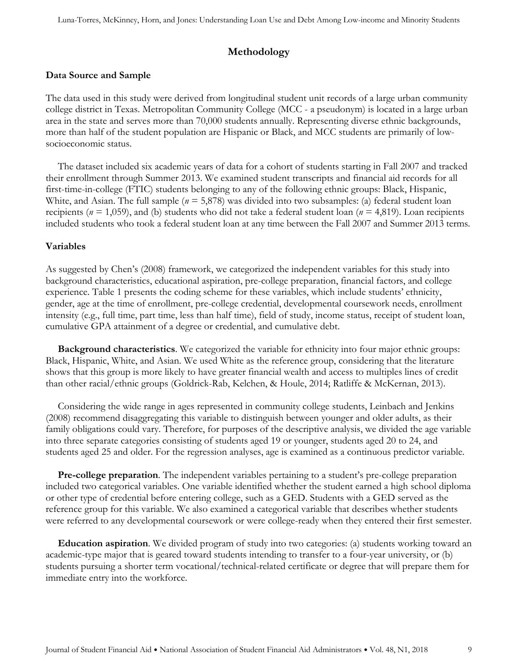## **Methodology**

#### **Data Source and Sample**

The data used in this study were derived from longitudinal student unit records of a large urban community college district in Texas. Metropolitan Community College (MCC - a pseudonym) is located in a large urban area in the state and serves more than 70,000 students annually. Representing diverse ethnic backgrounds, more than half of the student population are Hispanic or Black, and MCC students are primarily of lowsocioeconomic status.

The dataset included six academic years of data for a cohort of students starting in Fall 2007 and tracked their enrollment through Summer 2013. We examined student transcripts and financial aid records for all first-time-in-college (FTIC) students belonging to any of the following ethnic groups: Black, Hispanic, White, and Asian. The full sample  $(n = 5.878)$  was divided into two subsamples: (a) federal student loan recipients (*n* = 1,059), and (b) students who did not take a federal student loan (*n* = 4,819). Loan recipients included students who took a federal student loan at any time between the Fall 2007 and Summer 2013 terms.

#### **Variables**

As suggested by Chen's (2008) framework, we categorized the independent variables for this study into background characteristics, educational aspiration, pre-college preparation, financial factors, and college experience. Table 1 presents the coding scheme for these variables, which include students' ethnicity, gender, age at the time of enrollment, pre-college credential, developmental coursework needs, enrollment intensity (e.g., full time, part time, less than half time), field of study, income status, receipt of student loan, cumulative GPA attainment of a degree or credential, and cumulative debt.

**Background characteristics**. We categorized the variable for ethnicity into four major ethnic groups: Black, Hispanic, White, and Asian. We used White as the reference group, considering that the literature shows that this group is more likely to have greater financial wealth and access to multiples lines of credit than other racial/ethnic groups (Goldrick-Rab, Kelchen, & Houle, 2014; Ratliffe & McKernan, 2013).

Considering the wide range in ages represented in community college students, Leinbach and Jenkins (2008) recommend disaggregating this variable to distinguish between younger and older adults, as their family obligations could vary. Therefore, for purposes of the descriptive analysis, we divided the age variable into three separate categories consisting of students aged 19 or younger, students aged 20 to 24, and students aged 25 and older. For the regression analyses, age is examined as a continuous predictor variable.

**Pre-college preparation**. The independent variables pertaining to a student's pre-college preparation included two categorical variables. One variable identified whether the student earned a high school diploma or other type of credential before entering college, such as a GED. Students with a GED served as the reference group for this variable. We also examined a categorical variable that describes whether students were referred to any developmental coursework or were college-ready when they entered their first semester.

**Education aspiration**. We divided program of study into two categories: (a) students working toward an academic-type major that is geared toward students intending to transfer to a four-year university, or (b) students pursuing a shorter term vocational/technical-related certificate or degree that will prepare them for immediate entry into the workforce.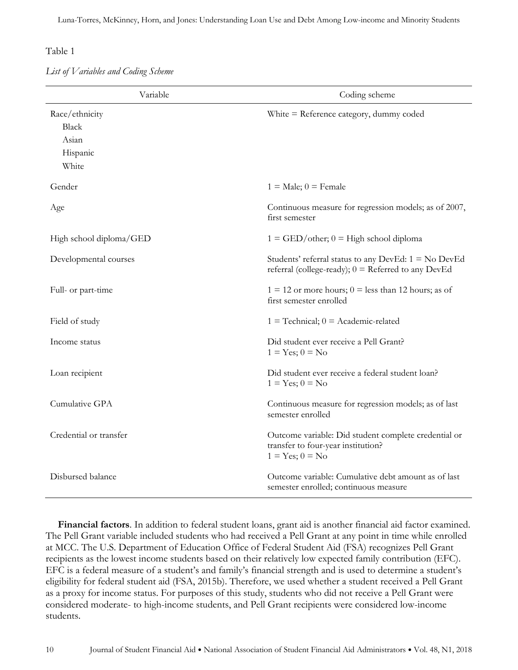*List of Variables and Coding Scheme*

| Variable                                                     | Coding scheme                                                                                                   |
|--------------------------------------------------------------|-----------------------------------------------------------------------------------------------------------------|
| Race/ethnicity<br><b>Black</b><br>Asian<br>Hispanic<br>White | White $=$ Reference category, dummy coded                                                                       |
| Gender                                                       | $1 = Male$ ; $0 = Female$                                                                                       |
| Age                                                          | Continuous measure for regression models; as of 2007,<br>first semester                                         |
| High school diploma/GED                                      | $1 = \text{GED/other}$ ; $0 = \text{High school diploma}$                                                       |
| Developmental courses                                        | Students' referral status to any DevEd: $1 = No DevEd$<br>referral (college-ready); $0 =$ Referred to any DevEd |
| Full- or part-time                                           | $1 = 12$ or more hours; $0 =$ less than 12 hours; as of<br>first semester enrolled                              |
| Field of study                                               | $1 =$ Technical; $0 =$ Academic-related                                                                         |
| Income status                                                | Did student ever receive a Pell Grant?<br>$1 = Yes; 0 = No$                                                     |
| Loan recipient                                               | Did student ever receive a federal student loan?<br>$1 = Yes; 0 = No$                                           |
| Cumulative GPA                                               | Continuous measure for regression models; as of last<br>semester enrolled                                       |
| Credential or transfer                                       | Outcome variable: Did student complete credential or<br>transfer to four-year institution?<br>$1 = Yes; 0 = No$ |
| Disbursed balance                                            | Outcome variable: Cumulative debt amount as of last<br>semester enrolled; continuous measure                    |

**Financial factors**. In addition to federal student loans, grant aid is another financial aid factor examined. The Pell Grant variable included students who had received a Pell Grant at any point in time while enrolled at MCC. The U.S. Department of Education Office of Federal Student Aid (FSA) recognizes Pell Grant recipients as the lowest income students based on their relatively low expected family contribution (EFC). EFC is a federal measure of a student's and family's financial strength and is used to determine a student's eligibility for federal student aid (FSA, 2015b). Therefore, we used whether a student received a Pell Grant as a proxy for income status. For purposes of this study, students who did not receive a Pell Grant were considered moderate- to high-income students, and Pell Grant recipients were considered low-income students.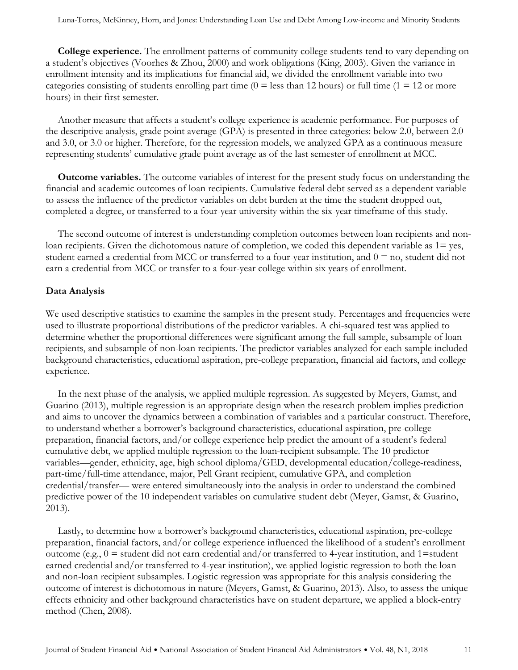**College experience.** The enrollment patterns of community college students tend to vary depending on a student's objectives (Voorhes & Zhou, 2000) and work obligations (King, 2003). Given the variance in enrollment intensity and its implications for financial aid, we divided the enrollment variable into two categories consisting of students enrolling part time ( $0 =$  less than 12 hours) or full time ( $1 = 12$  or more hours) in their first semester.

Another measure that affects a student's college experience is academic performance. For purposes of the descriptive analysis, grade point average (GPA) is presented in three categories: below 2.0, between 2.0 and 3.0, or 3.0 or higher. Therefore, for the regression models, we analyzed GPA as a continuous measure representing students' cumulative grade point average as of the last semester of enrollment at MCC.

**Outcome variables.** The outcome variables of interest for the present study focus on understanding the financial and academic outcomes of loan recipients. Cumulative federal debt served as a dependent variable to assess the influence of the predictor variables on debt burden at the time the student dropped out, completed a degree, or transferred to a four-year university within the six-year timeframe of this study.

The second outcome of interest is understanding completion outcomes between loan recipients and nonloan recipients. Given the dichotomous nature of completion, we coded this dependent variable as  $1=$  yes, student earned a credential from MCC or transferred to a four-year institution, and  $0 =$  no, student did not earn a credential from MCC or transfer to a four-year college within six years of enrollment.

#### **Data Analysis**

We used descriptive statistics to examine the samples in the present study. Percentages and frequencies were used to illustrate proportional distributions of the predictor variables. A chi-squared test was applied to determine whether the proportional differences were significant among the full sample, subsample of loan recipients, and subsample of non-loan recipients. The predictor variables analyzed for each sample included background characteristics, educational aspiration, pre-college preparation, financial aid factors, and college experience.

In the next phase of the analysis, we applied multiple regression. As suggested by Meyers, Gamst, and Guarino (2013), multiple regression is an appropriate design when the research problem implies prediction and aims to uncover the dynamics between a combination of variables and a particular construct. Therefore, to understand whether a borrower's background characteristics, educational aspiration, pre-college preparation, financial factors, and/or college experience help predict the amount of a student's federal cumulative debt, we applied multiple regression to the loan-recipient subsample. The 10 predictor variables—gender, ethnicity, age, high school diploma/GED, developmental education/college-readiness, part-time/full-time attendance, major, Pell Grant recipient, cumulative GPA, and completion credential/transfer— were entered simultaneously into the analysis in order to understand the combined predictive power of the 10 independent variables on cumulative student debt (Meyer, Gamst, & Guarino, 2013).

Lastly, to determine how a borrower's background characteristics, educational aspiration, pre-college preparation, financial factors, and/or college experience influenced the likelihood of a student's enrollment outcome (e.g.,  $0 =$  student did not earn credential and/or transferred to 4-year institution, and 1=student earned credential and/or transferred to 4-year institution), we applied logistic regression to both the loan and non-loan recipient subsamples. Logistic regression was appropriate for this analysis considering the outcome of interest is dichotomous in nature (Meyers, Gamst, & Guarino, 2013). Also, to assess the unique effects ethnicity and other background characteristics have on student departure, we applied a block-entry method (Chen, 2008).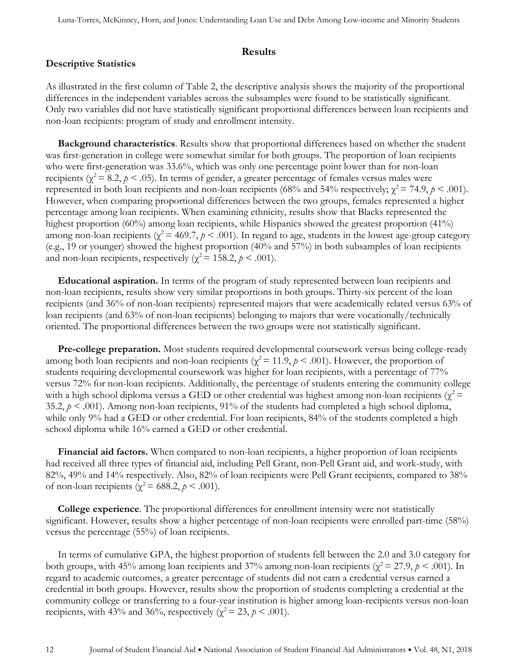#### **Results**

## **Descriptive Statistics**

As illustrated in the first column of Table 2, the descriptive analysis shows the majority of the proportional differences in the independent variables across the subsamples were found to be statistically significant. Only two variables did not have statistically significant proportional differences between loan recipients and non-loan recipients: program of study and enrollment intensity.

**Background characteristics**. Results show that proportional differences based on whether the student was first-generation in college were somewhat similar for both groups. The proportion of loan recipients who were first-generation was 33.6%, which was only one percentage point lower than for non-loan recipients ( $\chi^2$  = 8.2,  $\rho$  < .05). In terms of gender, a greater percentage of females versus males were represented in both loan recipients and non-loan recipients (68% and 54% respectively;  $\chi^2 = 74.9$ ,  $\rho < .001$ ). However, when comparing proportional differences between the two groups, females represented a higher percentage among loan recipients. When examining ethnicity, results show that Blacks represented the highest proportion (60%) among loan recipients, while Hispanics showed the greatest proportion (41%) among non-loan recipients ( $\chi^2$  = 469.7,  $p$  < .001). In regard to age, students in the lowest age-group category (e.g., 19 or younger) showed the highest proportion (40% and 57%) in both subsamples of loan recipients and non-loan recipients, respectively ( $\chi^2$  = 158.2,  $p$  < .001).

**Educational aspiration.** In terms of the program of study represented between loan recipients and non-loan recipients, results show very similar proportions in both groups. Thirty-six percent of the loan recipients (and 36% of non-loan recipients) represented majors that were academically related versus 63% of loan recipients (and 63% of non-loan recipients) belonging to majors that were vocationally/technically oriented. The proportional differences between the two groups were not statistically significant.

**Pre-college preparation.** Most students required developmental coursework versus being college-ready among both loan recipients and non-loan recipients ( $\chi^2$  = 11.9,  $\rho$  < .001). However, the proportion of students requiring developmental coursework was higher for loan recipients, with a percentage of 77% versus 72% for non-loan recipients. Additionally, the percentage of students entering the community college with a high school diploma versus a GED or other credential was highest among non-loan recipients ( $\chi^2$  = 35.2,  $p \le 0.001$ ). Among non-loan recipients, 91% of the students had completed a high school diploma, while only 9% had a GED or other credential. For loan recipients, 84% of the students completed a high school diploma while 16% earned a GED or other credential.

**Financial aid factors.** When compared to non-loan recipients, a higher proportion of loan recipients had received all three types of financial aid, including Pell Grant, non-Pell Grant aid, and work-study, with 82%, 49% and 14% respectively. Also, 82% of loan recipients were Pell Grant recipients, compared to 38% of non-loan recipients ( $\chi^2$  = 688.2,  $p$  < .001).

**College experience**. The proportional differences for enrollment intensity were not statistically significant. However, results show a higher percentage of non-loan recipients were enrolled part-time (58%) versus the percentage (55%) of loan recipients.

In terms of cumulative GPA, the highest proportion of students fell between the 2.0 and 3.0 category for both groups, with 45% among loan recipients and 37% among non-loan recipients ( $\chi^2 = 27.9$ ,  $p < .001$ ). In regard to academic outcomes, a greater percentage of students did not earn a credential versus earned a credential in both groups. However, results show the proportion of students completing a credential at the community college or transferring to a four-year institution is higher among loan-recipients versus non-loan recipients, with 43% and 36%, respectively ( $\chi^2$  = 23,  $p$  < .001).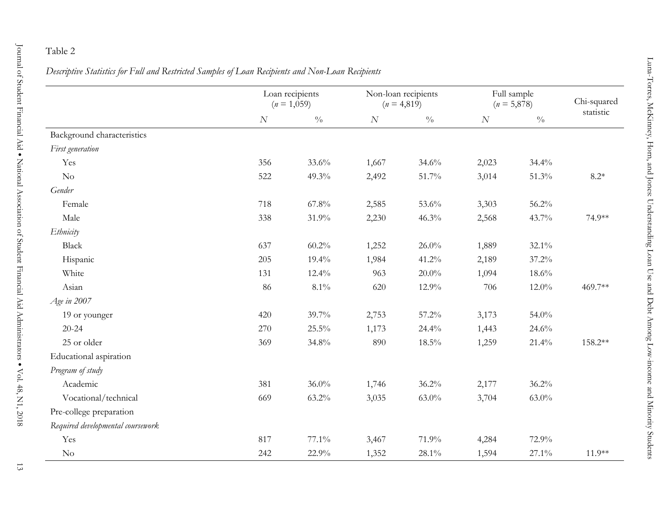Journal

<u>ር</u>

Student

Financial

Aid<br>•

National Association of Student Financial Aid Administrators

|                            |     | Loan recipients<br>$(n = 1,059)$ |       | Non-loan recipients<br>$(n = 4,819)$ |  |
|----------------------------|-----|----------------------------------|-------|--------------------------------------|--|
|                            | N   | $\frac{0}{0}$                    | N     | $\frac{0}{0}$                        |  |
| Background characteristics |     |                                  |       |                                      |  |
| First generation           |     |                                  |       |                                      |  |
| Yes                        | 356 | $33.6\%$                         | 1,667 | $34.6\%$                             |  |
| $\rm No$                   | 522 | $49.3\%$                         | 2,492 | 51.7%                                |  |
| Gender                     |     |                                  |       |                                      |  |
| Female                     | 718 | $67.8\%$                         | 2,585 | $53.6\%$                             |  |

|                                   | Loan recipients<br>$(n = 1,059)$ |                 | Non-loan recipients<br>$(n = 4,819)$ |               | Full sample<br>$(n = 5,878)$ |               | Chi-squared |
|-----------------------------------|----------------------------------|-----------------|--------------------------------------|---------------|------------------------------|---------------|-------------|
|                                   | N                                | $\sqrt[0]{\!0}$ | N                                    | $\frac{0}{0}$ | $\cal N$                     | $\frac{0}{0}$ | statistic   |
| Background characteristics        |                                  |                 |                                      |               |                              |               |             |
| First generation                  |                                  |                 |                                      |               |                              |               |             |
| Yes                               | 356                              | 33.6%           | 1,667                                | 34.6%         | 2,023                        | 34.4%         |             |
| $\rm No$                          | 522                              | 49.3%           | 2,492                                | 51.7%         | 3,014                        | 51.3%         | $8.2^*$     |
| Gender                            |                                  |                 |                                      |               |                              |               |             |
| Female                            | 718                              | $67.8\%$        | 2,585                                | 53.6%         | 3,303                        | 56.2%         |             |
| Male                              | 338                              | 31.9%           | 2,230                                | 46.3%         | 2,568                        | 43.7%         | 74.9**      |
| Ethnicity                         |                                  |                 |                                      |               |                              |               |             |
| <b>Black</b>                      | 637                              | 60.2%           | 1,252                                | 26.0%         | 1,889                        | 32.1%         |             |
| Hispanic                          | 205                              | 19.4%           | 1,984                                | 41.2%         | 2,189                        | 37.2%         |             |
| White                             | 131                              | 12.4%           | 963                                  | $20.0\%$      | 1,094                        | $18.6\%$      |             |
| Asian                             | 86                               | $8.1\%$         | 620                                  | 12.9%         | 706                          | $12.0\%$      | 469.7**     |
| Age in 2007                       |                                  |                 |                                      |               |                              |               |             |
| 19 or younger                     | 420                              | 39.7%           | 2,753                                | 57.2%         | 3,173                        | 54.0%         |             |
| $20 - 24$                         | 270                              | 25.5%           | 1,173                                | 24.4%         | 1,443                        | 24.6%         |             |
| 25 or older                       | 369                              | 34.8%           | 890                                  | $18.5\%$      | 1,259                        | 21.4%         | 158.2**     |
| Educational aspiration            |                                  |                 |                                      |               |                              |               |             |
| Program of study                  |                                  |                 |                                      |               |                              |               |             |
| Academic                          | 381                              | $36.0\%$        | 1,746                                | 36.2%         | 2,177                        | 36.2%         |             |
| Vocational/technical              | 669                              | 63.2%           | 3,035                                | $63.0\%$      | 3,704                        | $63.0\%$      |             |
| Pre-college preparation           |                                  |                 |                                      |               |                              |               |             |
| Required developmental coursework |                                  |                 |                                      |               |                              |               |             |
| Yes                               | 817                              | 77.1%           | 3,467                                | 71.9%         | 4,284                        | 72.9%         |             |
| $\rm No$                          | 242                              | 22.9%           | 1,352                                | 28.1%         | 1,594                        | 27.1%         | $11.9**$    |

٠

Vol. 48, N1, 2018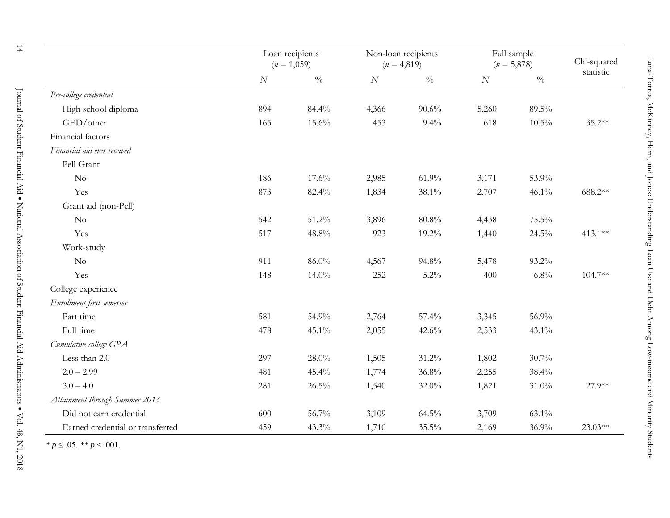|                                  |     | Loan recipients<br>$(n = 1,059)$ |       | Non-loan recipients<br>$(n = 4,819)$ |       | Full sample<br>$(n = 5,878)$ | Chi-squared<br>statistic |
|----------------------------------|-----|----------------------------------|-------|--------------------------------------|-------|------------------------------|--------------------------|
|                                  | N   | $\sqrt[0]{\!0}$                  | N     | $\sqrt[0]{\!0}$                      | N     | $\sqrt[0]{\!0}$              |                          |
| Pre-college credential           |     |                                  |       |                                      |       |                              |                          |
| High school diploma              | 894 | 84.4%                            | 4,366 | 90.6%                                | 5,260 | 89.5%                        |                          |
| GED/other                        | 165 | 15.6%                            | 453   | 9.4%                                 | 618   | $10.5\%$                     | $35.2**$                 |
| Financial factors                |     |                                  |       |                                      |       |                              |                          |
| Financial aid ever received      |     |                                  |       |                                      |       |                              |                          |
| Pell Grant                       |     |                                  |       |                                      |       |                              |                          |
| $\rm No$                         | 186 | 17.6%                            | 2,985 | 61.9%                                | 3,171 | 53.9%                        |                          |
| Yes                              | 873 | 82.4%                            | 1,834 | 38.1%                                | 2,707 | 46.1%                        | 688.2**                  |
| Grant aid (non-Pell)             |     |                                  |       |                                      |       |                              |                          |
| No                               | 542 | 51.2%                            | 3,896 | 80.8%                                | 4,438 | 75.5%                        |                          |
| Yes                              | 517 | 48.8%                            | 923   | 19.2%                                | 1,440 | 24.5%                        | 413.1**                  |
| Work-study                       |     |                                  |       |                                      |       |                              |                          |
| No                               | 911 | 86.0%                            | 4,567 | 94.8%                                | 5,478 | 93.2%                        |                          |
| Yes                              | 148 | $14.0\%$                         | 252   | $5.2\%$                              | 400   | 6.8%                         | 104.7**                  |
| College experience               |     |                                  |       |                                      |       |                              |                          |
| Enrollment first semester        |     |                                  |       |                                      |       |                              |                          |
| Part time                        | 581 | 54.9%                            | 2,764 | 57.4%                                | 3,345 | 56.9%                        |                          |
| Full time                        | 478 | 45.1%                            | 2,055 | 42.6%                                | 2,533 | 43.1%                        |                          |
| Cumulative college GPA           |     |                                  |       |                                      |       |                              |                          |
| Less than 2.0                    | 297 | $28.0\%$                         | 1,505 | $31.2\%$                             | 1,802 | 30.7%                        |                          |
| $2.0 - 2.99$                     | 481 | 45.4%                            | 1,774 | 36.8%                                | 2,255 | 38.4%                        |                          |
| $3.0 - 4.0$                      | 281 | 26.5%                            | 1,540 | 32.0%                                | 1,821 | 31.0%                        | 27.9**                   |
| Attainment through Summer 2013   |     |                                  |       |                                      |       |                              |                          |
| Did not earn credential          | 600 | 56.7%                            | 3,109 | $64.5\%$                             | 3,709 | 63.1%                        |                          |
| Earned credential or transferred | 459 | 43.3%                            | 1,710 | 35.5%                                | 2,169 | 36.9%                        | 23.03**                  |

*\* p* ≤ .05. *\*\* p* < .001.

Journal

<u>ግ</u>

Student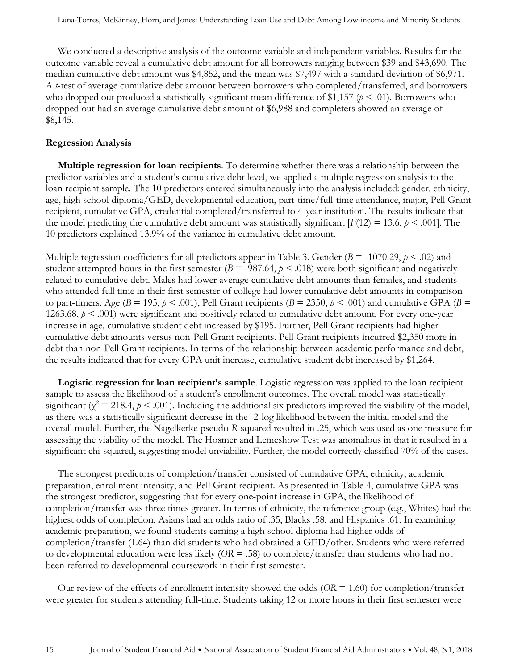We conducted a descriptive analysis of the outcome variable and independent variables. Results for the outcome variable reveal a cumulative debt amount for all borrowers ranging between \$39 and \$43,690. The median cumulative debt amount was \$4,852, and the mean was \$7,497 with a standard deviation of \$6,971. A *t*-test of average cumulative debt amount between borrowers who completed/transferred, and borrowers who dropped out produced a statistically significant mean difference of \$1,157 ( $p < .01$ ). Borrowers who dropped out had an average cumulative debt amount of \$6,988 and completers showed an average of \$8,145.

#### **Regression Analysis**

**Multiple regression for loan recipients**. To determine whether there was a relationship between the predictor variables and a student's cumulative debt level, we applied a multiple regression analysis to the loan recipient sample. The 10 predictors entered simultaneously into the analysis included: gender, ethnicity, age, high school diploma/GED, developmental education, part-time/full-time attendance, major, Pell Grant recipient, cumulative GPA, credential completed/transferred to 4-year institution. The results indicate that the model predicting the cumulative debt amount was statistically significant  $[F(12) = 13.6, p \le 0.001]$ . The 10 predictors explained 13.9% of the variance in cumulative debt amount.

Multiple regression coefficients for all predictors appear in Table 3. Gender ( $B = -1070.29$ ,  $p < .02$ ) and student attempted hours in the first semester ( $B = -987.64$ ,  $p < .018$ ) were both significant and negatively related to cumulative debt. Males had lower average cumulative debt amounts than females, and students who attended full time in their first semester of college had lower cumulative debt amounts in comparison to part-timers. Age ( $B = 195$ ,  $p < .001$ ), Pell Grant recipients ( $B = 2350$ ,  $p < .001$ ) and cumulative GPA ( $B =$ 1263.68, *p* < .001) were significant and positively related to cumulative debt amount. For every one-year increase in age, cumulative student debt increased by \$195. Further, Pell Grant recipients had higher cumulative debt amounts versus non-Pell Grant recipients. Pell Grant recipients incurred \$2,350 more in debt than non-Pell Grant recipients. In terms of the relationship between academic performance and debt, the results indicated that for every GPA unit increase, cumulative student debt increased by \$1,264.

**Logistic regression for loan recipient's sample**. Logistic regression was applied to the loan recipient sample to assess the likelihood of a student's enrollment outcomes. The overall model was statistically significant ( $\chi^2$  = 218.4,  $p$  < .001). Including the additional six predictors improved the viability of the model, as there was a statistically significant decrease in the -2-log likelihood between the initial model and the overall model. Further, the Nagelkerke pseudo *R*-squared resulted in .25, which was used as one measure for assessing the viability of the model. The Hosmer and Lemeshow Test was anomalous in that it resulted in a significant chi-squared, suggesting model unviability. Further, the model correctly classified 70% of the cases.

The strongest predictors of completion/transfer consisted of cumulative GPA, ethnicity, academic preparation, enrollment intensity, and Pell Grant recipient. As presented in Table 4, cumulative GPA was the strongest predictor, suggesting that for every one-point increase in GPA, the likelihood of completion/transfer was three times greater. In terms of ethnicity, the reference group (e.g., Whites) had the highest odds of completion. Asians had an odds ratio of .35, Blacks .58, and Hispanics .61. In examining academic preparation, we found students earning a high school diploma had higher odds of completion/transfer (1.64) than did students who had obtained a GED/other. Students who were referred to developmental education were less likely (*OR* = .58) to complete/transfer than students who had not been referred to developmental coursework in their first semester.

Our review of the effects of enrollment intensity showed the odds  $(OR = 1.60)$  for completion/transfer were greater for students attending full-time. Students taking 12 or more hours in their first semester were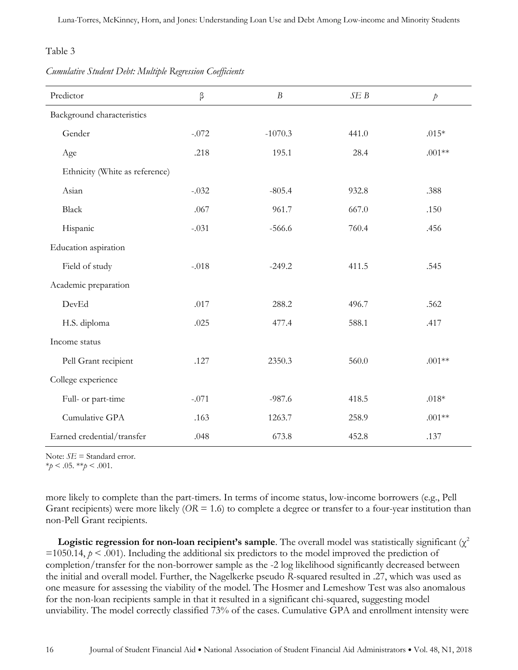*Cumulative Student Debt: Multiple Regression Coefficients*

| Predictor                      | β       | B         | SEB   | $\dot{p}$ |
|--------------------------------|---------|-----------|-------|-----------|
| Background characteristics     |         |           |       |           |
| Gender                         | $-.072$ | $-1070.3$ | 441.0 | $.015*$   |
| Age                            | .218    | 195.1     | 28.4  | $.001**$  |
| Ethnicity (White as reference) |         |           |       |           |
| Asian                          | $-.032$ | $-805.4$  | 932.8 | .388      |
| Black                          | .067    | 961.7     | 667.0 | .150      |
| Hispanic                       | $-.031$ | $-566.6$  | 760.4 | .456      |
| Education aspiration           |         |           |       |           |
| Field of study                 | $-.018$ | $-249.2$  | 411.5 | .545      |
| Academic preparation           |         |           |       |           |
| DevEd                          | .017    | 288.2     | 496.7 | .562      |
| H.S. diploma                   | .025    | 477.4     | 588.1 | .417      |
| Income status                  |         |           |       |           |
| Pell Grant recipient           | .127    | 2350.3    | 560.0 | $.001**$  |
| College experience             |         |           |       |           |
| Full- or part-time             | $-.071$ | $-987.6$  | 418.5 | $.018*$   |
| Cumulative GPA                 | .163    | 1263.7    | 258.9 | $.001**$  |
| Earned credential/transfer     | .048    | 673.8     | 452.8 | .137      |

Note:  $SE$  = Standard error.

 $*_{p}$  < .05.  $*_{p}$  < .001.

more likely to complete than the part-timers. In terms of income status, low-income borrowers (e.g., Pell Grant recipients) were more likely (*OR* = 1.6) to complete a degree or transfer to a four-year institution than non-Pell Grant recipients.

**Logistic regression for non-loan recipient's sample**. The overall model was statistically significant ( $\chi^2$ )  $=1050.14$ ,  $p < .001$ ). Including the additional six predictors to the model improved the prediction of completion/transfer for the non-borrower sample as the -2 log likelihood significantly decreased between the initial and overall model. Further, the Nagelkerke pseudo *R*-squared resulted in .27, which was used as one measure for assessing the viability of the model. The Hosmer and Lemeshow Test was also anomalous for the non-loan recipients sample in that it resulted in a significant chi-squared, suggesting model unviability. The model correctly classified 73% of the cases. Cumulative GPA and enrollment intensity were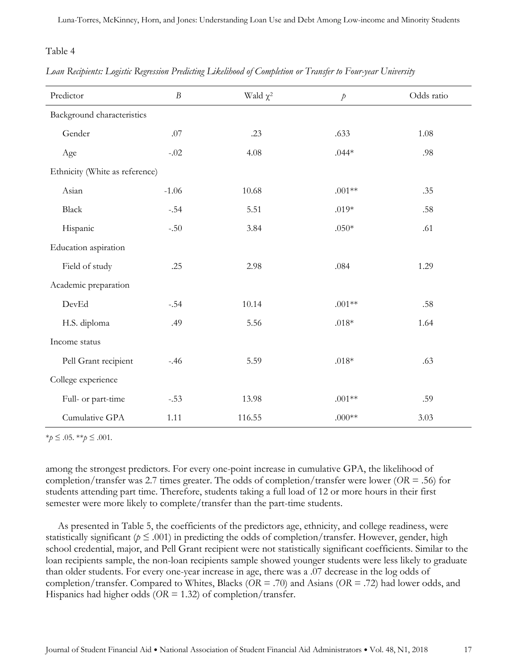#### *Loan Recipients: Logistic Regression Predicting Likelihood of Completion or Transfer to Four-year University*

| Predictor                      | $\boldsymbol{B}$ | Wald $\chi^2$ | $\dot{p}$ | Odds ratio |
|--------------------------------|------------------|---------------|-----------|------------|
| Background characteristics     |                  |               |           |            |
| Gender                         | .07              | .23           | .633      | 1.08       |
| Age                            | $-.02$           | 4.08          | $.044*$   | .98        |
| Ethnicity (White as reference) |                  |               |           |            |
| Asian                          | $-1.06$          | 10.68         | $.001**$  | .35        |
| Black                          | $-.54$           | 5.51          | $.019*$   | .58        |
| Hispanic                       | $-.50$           | 3.84          | $.050*$   | .61        |
| Education aspiration           |                  |               |           |            |
| Field of study                 | .25              | 2.98          | .084      | 1.29       |
| Academic preparation           |                  |               |           |            |
| DevEd                          | $-.54$           | 10.14         | $.001**$  | .58        |
| H.S. diploma                   | .49              | 5.56          | $.018*$   | 1.64       |
| Income status                  |                  |               |           |            |
| Pell Grant recipient           | $-.46$           | 5.59          | $.018*$   | .63        |
| College experience             |                  |               |           |            |
| Full- or part-time             | $-.53$           | 13.98         | $.001**$  | .59        |
| Cumulative GPA                 | 1.11             | 116.55        | $.000**$  | 3.03       |

\**p* ≤ .05. \*\**p* ≤ .001*.*

among the strongest predictors. For every one-point increase in cumulative GPA, the likelihood of completion/transfer was 2.7 times greater. The odds of completion/transfer were lower (*OR* = .56) for students attending part time. Therefore, students taking a full load of 12 or more hours in their first semester were more likely to complete/transfer than the part-time students.

As presented in Table 5, the coefficients of the predictors age, ethnicity, and college readiness, were statistically significant ( $p \leq .001$ ) in predicting the odds of completion/transfer. However, gender, high school credential, major, and Pell Grant recipient were not statistically significant coefficients. Similar to the loan recipients sample, the non-loan recipients sample showed younger students were less likely to graduate than older students. For every one-year increase in age, there was a .07 decrease in the log odds of completion/transfer. Compared to Whites, Blacks (*OR* = .70) and Asians (*OR* = .72) had lower odds, and Hispanics had higher odds (*OR* = 1.32) of completion/transfer.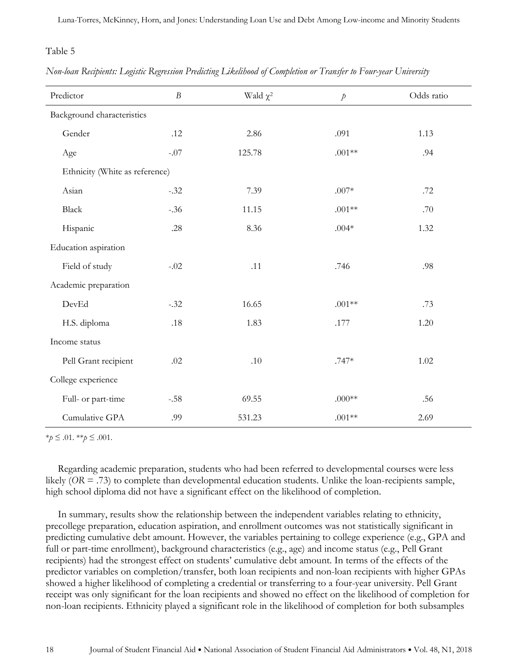#### *Non-loan Recipients: Logistic Regression Predicting Likelihood of Completion or Transfer to Four-year University*

| Predictor                      | $\boldsymbol{B}$ | Wald $\chi^2$ | $\dot{p}$ | Odds ratio |
|--------------------------------|------------------|---------------|-----------|------------|
| Background characteristics     |                  |               |           |            |
| Gender                         | .12              | 2.86          | .091      | 1.13       |
| Age                            | $-.07$           | 125.78        | $.001**$  | .94        |
| Ethnicity (White as reference) |                  |               |           |            |
| Asian                          | $-.32$           | 7.39          | $.007*$   | .72        |
| Black                          | $-.36$           | 11.15         | $.001**$  | .70        |
| Hispanic                       | .28              | 8.36          | $.004*$   | 1.32       |
| Education aspiration           |                  |               |           |            |
| Field of study                 | $-.02$           | .11           | .746      | .98        |
| Academic preparation           |                  |               |           |            |
| DevEd                          | $-.32$           | 16.65         | $.001**$  | .73        |
| H.S. diploma                   | .18              | 1.83          | .177      | 1.20       |
| Income status                  |                  |               |           |            |
| Pell Grant recipient           | .02              | $.10\,$       | $.747*$   | 1.02       |
| College experience             |                  |               |           |            |
| Full- or part-time             | $-.58$           | 69.55         | $.000**$  | .56        |
| Cumulative GPA                 | .99              | 531.23        | $.001**$  | 2.69       |

\**p* ≤ .01. \*\**p* ≤ .001.

Regarding academic preparation, students who had been referred to developmental courses were less likely (*OR* = .73) to complete than developmental education students. Unlike the loan-recipients sample, high school diploma did not have a significant effect on the likelihood of completion.

In summary, results show the relationship between the independent variables relating to ethnicity, precollege preparation, education aspiration, and enrollment outcomes was not statistically significant in predicting cumulative debt amount. However, the variables pertaining to college experience (e.g., GPA and full or part-time enrollment), background characteristics (e.g., age) and income status (e.g., Pell Grant recipients) had the strongest effect on students' cumulative debt amount. In terms of the effects of the predictor variables on completion/transfer, both loan recipients and non-loan recipients with higher GPAs showed a higher likelihood of completing a credential or transferring to a four-year university. Pell Grant receipt was only significant for the loan recipients and showed no effect on the likelihood of completion for non-loan recipients. Ethnicity played a significant role in the likelihood of completion for both subsamples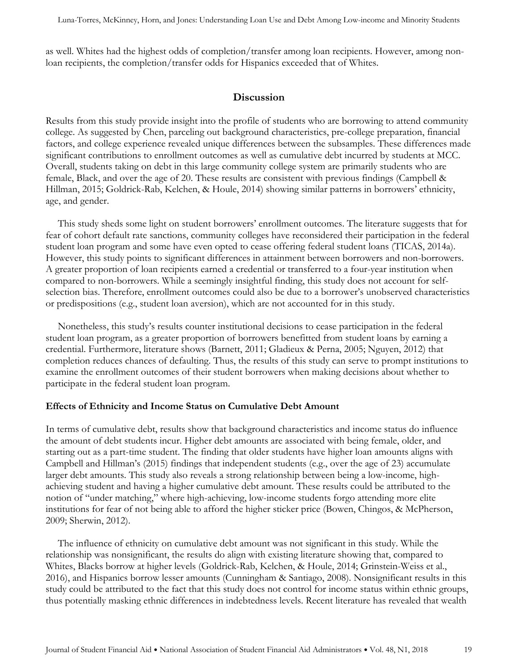as well. Whites had the highest odds of completion/transfer among loan recipients. However, among nonloan recipients, the completion/transfer odds for Hispanics exceeded that of Whites.

## **Discussion**

Results from this study provide insight into the profile of students who are borrowing to attend community college. As suggested by Chen, parceling out background characteristics, pre-college preparation, financial factors, and college experience revealed unique differences between the subsamples. These differences made significant contributions to enrollment outcomes as well as cumulative debt incurred by students at MCC. Overall, students taking on debt in this large community college system are primarily students who are female, Black, and over the age of 20. These results are consistent with previous findings (Campbell & Hillman, 2015; Goldrick-Rab, Kelchen, & Houle, 2014) showing similar patterns in borrowers' ethnicity, age, and gender.

This study sheds some light on student borrowers' enrollment outcomes. The literature suggests that for fear of cohort default rate sanctions, community colleges have reconsidered their participation in the federal student loan program and some have even opted to cease offering federal student loans (TICAS, 2014a). However, this study points to significant differences in attainment between borrowers and non-borrowers. A greater proportion of loan recipients earned a credential or transferred to a four-year institution when compared to non-borrowers. While a seemingly insightful finding, this study does not account for selfselection bias. Therefore, enrollment outcomes could also be due to a borrower's unobserved characteristics or predispositions (e.g., student loan aversion), which are not accounted for in this study.

Nonetheless, this study's results counter institutional decisions to cease participation in the federal student loan program, as a greater proportion of borrowers benefitted from student loans by earning a credential. Furthermore, literature shows (Barnett, 2011; Gladieux & Perna, 2005; Nguyen, 2012) that completion reduces chances of defaulting. Thus, the results of this study can serve to prompt institutions to examine the enrollment outcomes of their student borrowers when making decisions about whether to participate in the federal student loan program.

#### **Effects of Ethnicity and Income Status on Cumulative Debt Amount**

In terms of cumulative debt, results show that background characteristics and income status do influence the amount of debt students incur. Higher debt amounts are associated with being female, older, and starting out as a part-time student. The finding that older students have higher loan amounts aligns with Campbell and Hillman's (2015) findings that independent students (e.g., over the age of 23) accumulate larger debt amounts. This study also reveals a strong relationship between being a low-income, highachieving student and having a higher cumulative debt amount. These results could be attributed to the notion of "under matching," where high-achieving, low-income students forgo attending more elite institutions for fear of not being able to afford the higher sticker price (Bowen, Chingos, & McPherson, 2009; Sherwin, 2012).

The influence of ethnicity on cumulative debt amount was not significant in this study. While the relationship was nonsignificant, the results do align with existing literature showing that, compared to Whites, Blacks borrow at higher levels (Goldrick-Rab, Kelchen, & Houle, 2014; Grinstein-Weiss et al., 2016), and Hispanics borrow lesser amounts (Cunningham & Santiago, 2008). Nonsignificant results in this study could be attributed to the fact that this study does not control for income status within ethnic groups, thus potentially masking ethnic differences in indebtedness levels. Recent literature has revealed that wealth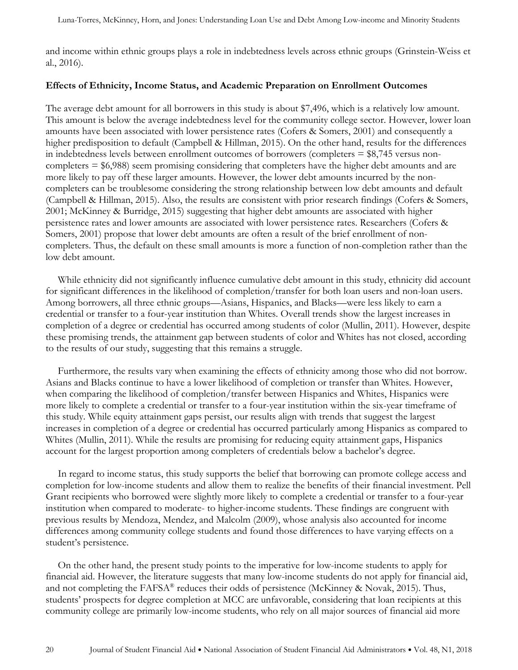and income within ethnic groups plays a role in indebtedness levels across ethnic groups (Grinstein-Weiss et al., 2016).

#### **Effects of Ethnicity, Income Status, and Academic Preparation on Enrollment Outcomes**

The average debt amount for all borrowers in this study is about \$7,496, which is a relatively low amount. This amount is below the average indebtedness level for the community college sector. However, lower loan amounts have been associated with lower persistence rates (Cofers & Somers, 2001) and consequently a higher predisposition to default (Campbell & Hillman, 2015). On the other hand, results for the differences in indebtedness levels between enrollment outcomes of borrowers (completers = \$8,745 versus noncompleters = \$6,988) seem promising considering that completers have the higher debt amounts and are more likely to pay off these larger amounts. However, the lower debt amounts incurred by the noncompleters can be troublesome considering the strong relationship between low debt amounts and default (Campbell & Hillman, 2015). Also, the results are consistent with prior research findings (Cofers & Somers, 2001; McKinney & Burridge, 2015) suggesting that higher debt amounts are associated with higher persistence rates and lower amounts are associated with lower persistence rates. Researchers (Cofers & Somers, 2001) propose that lower debt amounts are often a result of the brief enrollment of noncompleters. Thus, the default on these small amounts is more a function of non-completion rather than the low debt amount.

While ethnicity did not significantly influence cumulative debt amount in this study, ethnicity did account for significant differences in the likelihood of completion/transfer for both loan users and non-loan users. Among borrowers, all three ethnic groups—Asians, Hispanics, and Blacks—were less likely to earn a credential or transfer to a four-year institution than Whites. Overall trends show the largest increases in completion of a degree or credential has occurred among students of color (Mullin, 2011). However, despite these promising trends, the attainment gap between students of color and Whites has not closed, according to the results of our study, suggesting that this remains a struggle.

Furthermore, the results vary when examining the effects of ethnicity among those who did not borrow. Asians and Blacks continue to have a lower likelihood of completion or transfer than Whites. However, when comparing the likelihood of completion/transfer between Hispanics and Whites, Hispanics were more likely to complete a credential or transfer to a four-year institution within the six-year timeframe of this study. While equity attainment gaps persist, our results align with trends that suggest the largest increases in completion of a degree or credential has occurred particularly among Hispanics as compared to Whites (Mullin, 2011). While the results are promising for reducing equity attainment gaps, Hispanics account for the largest proportion among completers of credentials below a bachelor's degree.

In regard to income status, this study supports the belief that borrowing can promote college access and completion for low-income students and allow them to realize the benefits of their financial investment. Pell Grant recipients who borrowed were slightly more likely to complete a credential or transfer to a four-year institution when compared to moderate- to higher-income students. These findings are congruent with previous results by Mendoza, Mendez, and Malcolm (2009), whose analysis also accounted for income differences among community college students and found those differences to have varying effects on a student's persistence.

On the other hand, the present study points to the imperative for low-income students to apply for financial aid. However, the literature suggests that many low-income students do not apply for financial aid, and not completing the FAFSA® reduces their odds of persistence (McKinney & Novak, 2015). Thus, students' prospects for degree completion at MCC are unfavorable, considering that loan recipients at this community college are primarily low-income students, who rely on all major sources of financial aid more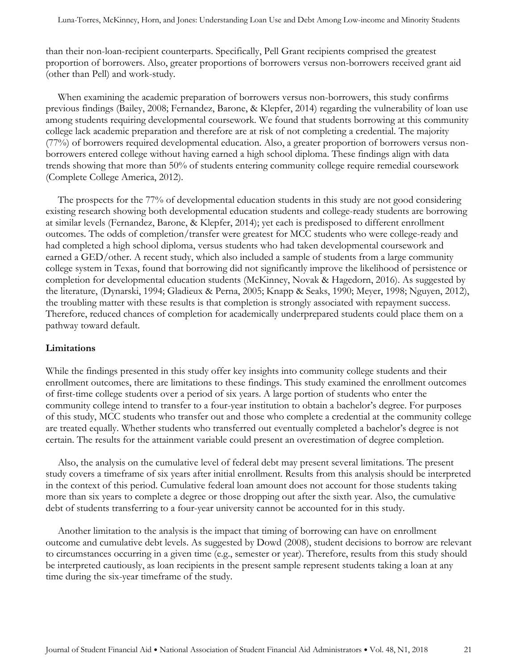than their non-loan-recipient counterparts. Specifically, Pell Grant recipients comprised the greatest proportion of borrowers. Also, greater proportions of borrowers versus non-borrowers received grant aid (other than Pell) and work-study.

When examining the academic preparation of borrowers versus non-borrowers, this study confirms previous findings (Bailey, 2008; Fernandez, Barone, & Klepfer, 2014) regarding the vulnerability of loan use among students requiring developmental coursework. We found that students borrowing at this community college lack academic preparation and therefore are at risk of not completing a credential. The majority (77%) of borrowers required developmental education. Also, a greater proportion of borrowers versus nonborrowers entered college without having earned a high school diploma. These findings align with data trends showing that more than 50% of students entering community college require remedial coursework (Complete College America, 2012).

The prospects for the 77% of developmental education students in this study are not good considering existing research showing both developmental education students and college-ready students are borrowing at similar levels (Fernandez, Barone, & Klepfer, 2014); yet each is predisposed to different enrollment outcomes. The odds of completion/transfer were greatest for MCC students who were college-ready and had completed a high school diploma, versus students who had taken developmental coursework and earned a GED/other. A recent study, which also included a sample of students from a large community college system in Texas, found that borrowing did not significantly improve the likelihood of persistence or completion for developmental education students (McKinney, Novak & Hagedorn, 2016). As suggested by the literature, (Dynarski, 1994; Gladieux & Perna, 2005; Knapp & Seaks, 1990; Meyer, 1998; Nguyen, 2012), the troubling matter with these results is that completion is strongly associated with repayment success. Therefore, reduced chances of completion for academically underprepared students could place them on a pathway toward default.

#### **Limitations**

While the findings presented in this study offer key insights into community college students and their enrollment outcomes, there are limitations to these findings. This study examined the enrollment outcomes of first-time college students over a period of six years. A large portion of students who enter the community college intend to transfer to a four-year institution to obtain a bachelor's degree. For purposes of this study, MCC students who transfer out and those who complete a credential at the community college are treated equally. Whether students who transferred out eventually completed a bachelor's degree is not certain. The results for the attainment variable could present an overestimation of degree completion.

Also, the analysis on the cumulative level of federal debt may present several limitations. The present study covers a timeframe of six years after initial enrollment. Results from this analysis should be interpreted in the context of this period. Cumulative federal loan amount does not account for those students taking more than six years to complete a degree or those dropping out after the sixth year. Also, the cumulative debt of students transferring to a four-year university cannot be accounted for in this study.

Another limitation to the analysis is the impact that timing of borrowing can have on enrollment outcome and cumulative debt levels. As suggested by Dowd (2008), student decisions to borrow are relevant to circumstances occurring in a given time (e.g., semester or year). Therefore, results from this study should be interpreted cautiously, as loan recipients in the present sample represent students taking a loan at any time during the six-year timeframe of the study.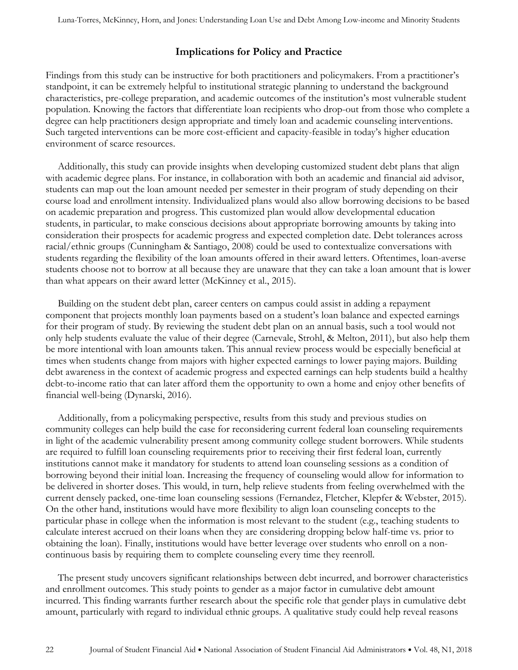## **Implications for Policy and Practice**

Findings from this study can be instructive for both practitioners and policymakers. From a practitioner's standpoint, it can be extremely helpful to institutional strategic planning to understand the background characteristics, pre-college preparation, and academic outcomes of the institution's most vulnerable student population. Knowing the factors that differentiate loan recipients who drop-out from those who complete a degree can help practitioners design appropriate and timely loan and academic counseling interventions. Such targeted interventions can be more cost-efficient and capacity-feasible in today's higher education environment of scarce resources.

Additionally, this study can provide insights when developing customized student debt plans that align with academic degree plans. For instance, in collaboration with both an academic and financial aid advisor, students can map out the loan amount needed per semester in their program of study depending on their course load and enrollment intensity. Individualized plans would also allow borrowing decisions to be based on academic preparation and progress. This customized plan would allow developmental education students, in particular, to make conscious decisions about appropriate borrowing amounts by taking into consideration their prospects for academic progress and expected completion date. Debt tolerances across racial/ethnic groups (Cunningham & Santiago, 2008) could be used to contextualize conversations with students regarding the flexibility of the loan amounts offered in their award letters. Oftentimes, loan-averse students choose not to borrow at all because they are unaware that they can take a loan amount that is lower than what appears on their award letter (McKinney et al., 2015).

Building on the student debt plan, career centers on campus could assist in adding a repayment component that projects monthly loan payments based on a student's loan balance and expected earnings for their program of study. By reviewing the student debt plan on an annual basis, such a tool would not only help students evaluate the value of their degree (Carnevale, Strohl, & Melton, 2011), but also help them be more intentional with loan amounts taken. This annual review process would be especially beneficial at times when students change from majors with higher expected earnings to lower paying majors. Building debt awareness in the context of academic progress and expected earnings can help students build a healthy debt-to-income ratio that can later afford them the opportunity to own a home and enjoy other benefits of financial well-being (Dynarski, 2016).

Additionally, from a policymaking perspective, results from this study and previous studies on community colleges can help build the case for reconsidering current federal loan counseling requirements in light of the academic vulnerability present among community college student borrowers. While students are required to fulfill loan counseling requirements prior to receiving their first federal loan, currently institutions cannot make it mandatory for students to attend loan counseling sessions as a condition of borrowing beyond their initial loan. Increasing the frequency of counseling would allow for information to be delivered in shorter doses. This would, in turn, help relieve students from feeling overwhelmed with the current densely packed, one-time loan counseling sessions (Fernandez, Fletcher, Klepfer & Webster, 2015). On the other hand, institutions would have more flexibility to align loan counseling concepts to the particular phase in college when the information is most relevant to the student (e.g., teaching students to calculate interest accrued on their loans when they are considering dropping below half-time vs. prior to obtaining the loan). Finally, institutions would have better leverage over students who enroll on a noncontinuous basis by requiring them to complete counseling every time they reenroll.

The present study uncovers significant relationships between debt incurred, and borrower characteristics and enrollment outcomes. This study points to gender as a major factor in cumulative debt amount incurred. This finding warrants further research about the specific role that gender plays in cumulative debt amount, particularly with regard to individual ethnic groups. A qualitative study could help reveal reasons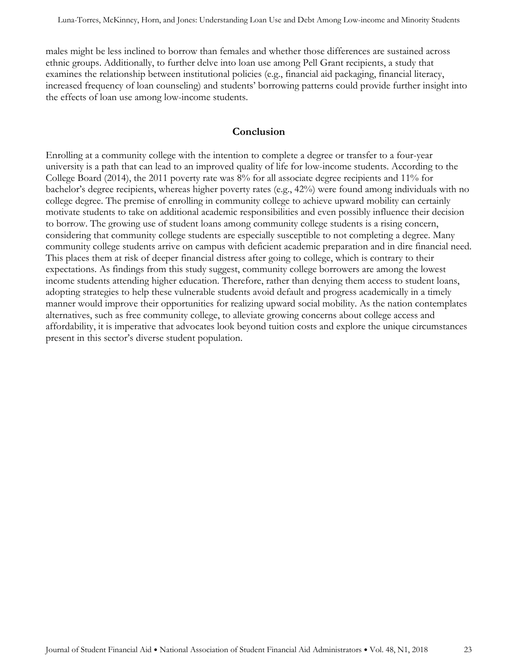males might be less inclined to borrow than females and whether those differences are sustained across ethnic groups. Additionally, to further delve into loan use among Pell Grant recipients, a study that examines the relationship between institutional policies (e.g., financial aid packaging, financial literacy, increased frequency of loan counseling) and students' borrowing patterns could provide further insight into the effects of loan use among low-income students.

#### **Conclusion**

Enrolling at a community college with the intention to complete a degree or transfer to a four-year university is a path that can lead to an improved quality of life for low-income students. According to the College Board (2014), the 2011 poverty rate was 8% for all associate degree recipients and 11% for bachelor's degree recipients, whereas higher poverty rates (e.g., 42%) were found among individuals with no college degree. The premise of enrolling in community college to achieve upward mobility can certainly motivate students to take on additional academic responsibilities and even possibly influence their decision to borrow. The growing use of student loans among community college students is a rising concern, considering that community college students are especially susceptible to not completing a degree. Many community college students arrive on campus with deficient academic preparation and in dire financial need. This places them at risk of deeper financial distress after going to college, which is contrary to their expectations. As findings from this study suggest, community college borrowers are among the lowest income students attending higher education. Therefore, rather than denying them access to student loans, adopting strategies to help these vulnerable students avoid default and progress academically in a timely manner would improve their opportunities for realizing upward social mobility. As the nation contemplates alternatives, such as free community college, to alleviate growing concerns about college access and affordability, it is imperative that advocates look beyond tuition costs and explore the unique circumstances present in this sector's diverse student population.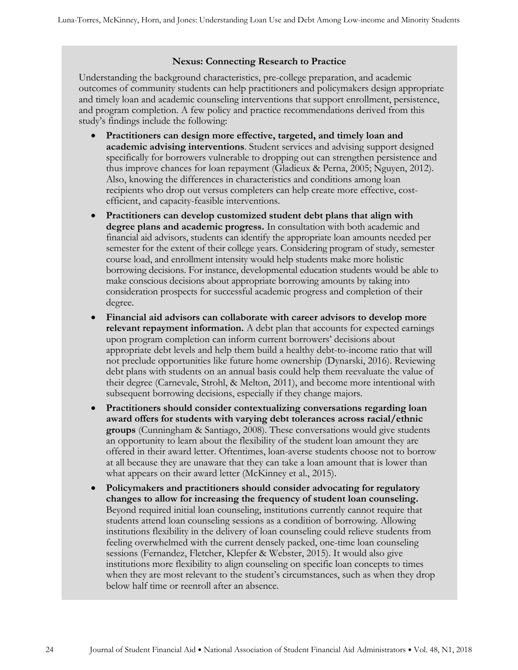#### **Nexus: Connecting Research to Practice**

Understanding the background characteristics, pre-college preparation, and academic outcomes of community students can help practitioners and policymakers design appropriate and timely loan and academic counseling interventions that support enrollment, persistence, and program completion. A few policy and practice recommendations derived from this study's findings include the following:

- **Practitioners can design more effective, targeted, and timely loan and academic advising interventions**. Student services and advising support designed specifically for borrowers vulnerable to dropping out can strengthen persistence and thus improve chances for loan repayment (Gladieux & Perna, 2005; Nguyen, 2012). Also, knowing the differences in characteristics and conditions among loan recipients who drop out versus completers can help create more effective, costefficient, and capacity-feasible interventions.
- **Practitioners can develop customized student debt plans that align with degree plans and academic progress.** In consultation with both academic and financial aid advisors, students can identify the appropriate loan amounts needed per semester for the extent of their college years. Considering program of study, semester course load, and enrollment intensity would help students make more holistic borrowing decisions. For instance, developmental education students would be able to make conscious decisions about appropriate borrowing amounts by taking into consideration prospects for successful academic progress and completion of their degree.
- **Financial aid advisors can collaborate with career advisors to develop more relevant repayment information.** A debt plan that accounts for expected earnings upon program completion can inform current borrowers' decisions about appropriate debt levels and help them build a healthy debt-to-income ratio that will not preclude opportunities like future home ownership (Dynarski, 2016). Reviewing debt plans with students on an annual basis could help them reevaluate the value of their degree (Carnevale, Strohl, & Melton, 2011), and become more intentional with subsequent borrowing decisions, especially if they change majors.
- **Practitioners should consider contextualizing conversations regarding loan award offers for students with varying debt tolerances across racial/ethnic groups** (Cunningham & Santiago, 2008). These conversations would give students an opportunity to learn about the flexibility of the student loan amount they are offered in their award letter. Oftentimes, loan-averse students choose not to borrow at all because they are unaware that they can take a loan amount that is lower than what appears on their award letter (McKinney et al., 2015).
- **Policymakers and practitioners should consider advocating for regulatory changes to allow for increasing the frequency of student loan counseling.**  Beyond required initial loan counseling, institutions currently cannot require that students attend loan counseling sessions as a condition of borrowing. Allowing institutions flexibility in the delivery of loan counseling could relieve students from feeling overwhelmed with the current densely packed, one-time loan counseling sessions (Fernandez, Fletcher, Klepfer & Webster, 2015). It would also give institutions more flexibility to align counseling on specific loan concepts to times when they are most relevant to the student's circumstances, such as when they drop below half time or reenroll after an absence.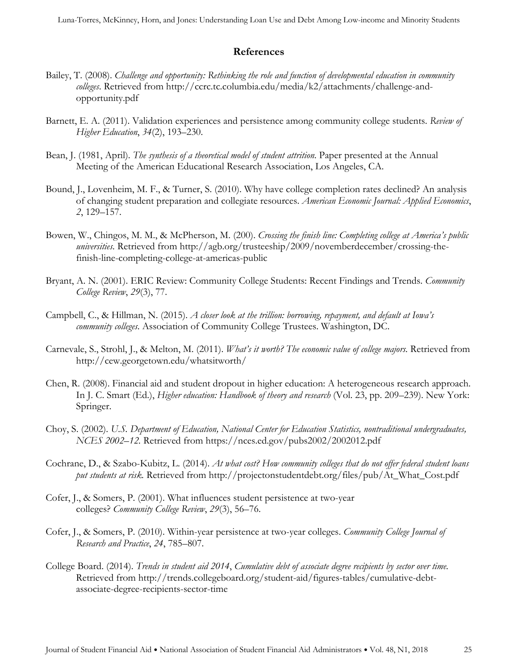## **References**

- Bailey, T. (2008). *Challenge and opportunity: Rethinking the role and function of developmental education in community colleges*. Retrieved from http://ccrc.tc.columbia.edu/media/k2/attachments/challenge-andopportunity.pdf
- Barnett, E. A. (2011). Validation experiences and persistence among community college students. *Review of Higher Education*, *34*(2), 193–230.
- Bean, J. (1981, April). *The synthesis of a theoretical model of student attrition*. Paper presented at the Annual Meeting of the American Educational Research Association, Los Angeles, CA.
- Bound, J., Lovenheim, M. F., & Turner, S. (2010). Why have college completion rates declined? An analysis of changing student preparation and collegiate resources. *American Economic Journal: Applied Economics*, *2*, 129–157.
- Bowen, W., Chingos, M. M., & McPherson, M. (200). *Crossing the finish line: Completing college at America's public universities.* Retrieved from http://agb.org/trusteeship/2009/novemberdecember/crossing-thefinish-line-completing-college-at-americas-public
- Bryant, A. N. (2001). ERIC Review: Community College Students: Recent Findings and Trends. *Community College Review*, *29*(3), 77.
- Campbell, C., & Hillman, N. (2015). *A closer look at the trillion: borrowing, repayment, and default at Iowa's community colleges*. Association of Community College Trustees. Washington, DC.
- Carnevale, S., Strohl, J., & Melton, M. (2011). *What's it worth? The economic value of college majors.* Retrieved from http://cew.georgetown.edu/whatsitworth/
- Chen, R. (2008). Financial aid and student dropout in higher education: A heterogeneous research approach. In J. C. Smart (Ed.), *Higher education: Handbook of theory and research* (Vol. 23, pp. 209–239). New York: Springer.
- Choy, S. (2002). *U.S. Department of Education, National Center for Education Statistics, nontraditional undergraduates, NCES 2002–12.* Retrieved from https://nces.ed.gov/pubs2002/2002012.pdf
- Cochrane, D., & Szabo-Kubitz, L. (2014). *At what cost? How community colleges that do not offer federal student loans put students at risk.* Retrieved from [http://projectonstudentdebt.org/files/pub/At\\_What\\_Cost.pdf](http://projectonstudentdebt.org/files/pub/At_What_Cost.pdf)
- Cofer, J., & [Somers, P.](http://www.refworks.com.ezproxy.lib.uh.edu/refworks2/default.aspx?r=references|MainLayout::init) (2001). What influences student persistence at two-year colleges? *Community College Review*, *29*(3), 56–76.
- Cofer, J., & Somers, P. (2010). Within-year persistence at two-year colleges. *Community College Journal of Research and Practice*, *24*, 785–807.
- College Board. (2014). *Trends in student aid 2014*, *Cumulative debt of associate degree recipients by sector over time.*  Retrieved from [http://trends.collegeboard.org/student-aid/figures-tables/cumulative-debt](ttp://trends.collegeboard.org/student-aid/figures-tables/cumulative-debt-associate-d)[associate-de](ttp://trends.collegeboard.org/student-aid/figures-tables/cumulative-debt-associate-d)gree-recipients-sector-time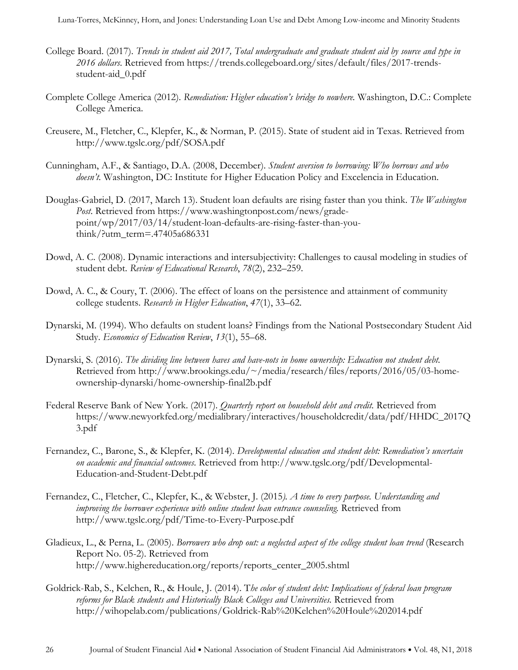Luna-Torres, McKinney, Horn, and Jones: Understanding Loan Use and Debt Among Low-income and Minority Students

- College Board. (2017). *Trends in student aid 2017, Total undergraduate and graduate student aid by source and type in 2016 dollars*. Retrieved from https://trends.collegeboard.org/sites/default/files/2017-trendsstudent-aid\_0.pdf
- Complete College America (2012). *Remediation: Higher education's bridge to nowhere.* Washington, D.C.: Complete College America.
- Creusere, M., Fletcher, C., Klepfer, K., & Norman, P. (2015). State of student aid in Texas. Retrieved from <http://www.tgslc.org/pdf/SOSA.pdf>
- Cunningham, A.F., & Santiago, D.A. (2008, December). *Student aversion to borrowing: Who borrows and who doesn't.* Washington, DC: Institute for Higher Education Policy and Excelencia in Education.
- Douglas-Gabriel, D. (2017, March 13). Student loan defaults are rising faster than you think. *The Washington Post*. Retrieved from https://www.washingtonpost.com/news/gradepoint/wp/2017/03/14/student-loan-defaults-are-rising-faster-than-youthink/?utm\_term=.47405a686331
- Dowd, A. C. (2008). Dynamic interactions and intersubjectivity: Challenges to causal modeling in studies of student debt. *Review of Educational Research*, *78*(2), 232–259.
- Dowd, A. C., & Coury, T. (2006). The effect of loans on the persistence and attainment of community college students. *Research in Higher Education*, *47*(1), 33–62.
- Dynarski, M. (1994). Who defaults on student loans? Findings from the National Postsecondary Student Aid Study. *Economics of Education Review*, *13*(1), 55–68.
- Dynarski, S. (2016). *The dividing line between haves and have-nots in home ownership: Education not student debt.* Retrieved from http://www.brookings.edu/~/media/research/files/reports/2016/05/03-homeownership-dynarski/home-ownership-final2b.pdf
- Federal Reserve Bank of New York. (2017). *Quarterly report on household debt and credit.* Retrieved from https://www.newyorkfed.org/medialibrary/interactives/householdcredit/data/pdf/HHDC\_2017Q 3.pdf
- Fernandez, C., Barone, S., & Klepfer, K. (2014). *Developmental education and student debt: Remediation's uncertain on academic and financial outcomes.* Retrieved from<http://www.tgslc.org/pdf/Developmental->Education-and-Student-Debt.pdf
- Fernandez, C., Fletcher, C., Klepfer, K., & Webster, J. (2015*). A time to every purpose. Understanding and*  improving the borrower experience with online student loan entrance counseling. Retrieved from http://www.tgslc.org/pdf/Time-to-Every-Purpose.pdf
- Gladieux, L., & Perna, L. (2005). *Borrowers who drop out: a neglected aspect of the college student loan trend* (Research Report No. 05-2). Retrieved from [http://www.highereducation.org/reports/reports\\_center\\_2005.shtml](http://www.highereducation.org/reports/reports_center_2005.shtml)
- Goldrick-Rab, S., Kelchen, R., & Houle, J. (2014). T*he color of student debt: Implications of federal loan program reforms for Black students and Historically Black Colleges and Universities.* Retrieved from http://wihopelab.com/publications/Goldrick-Rab%20Kelchen%20Houle%202014.pdf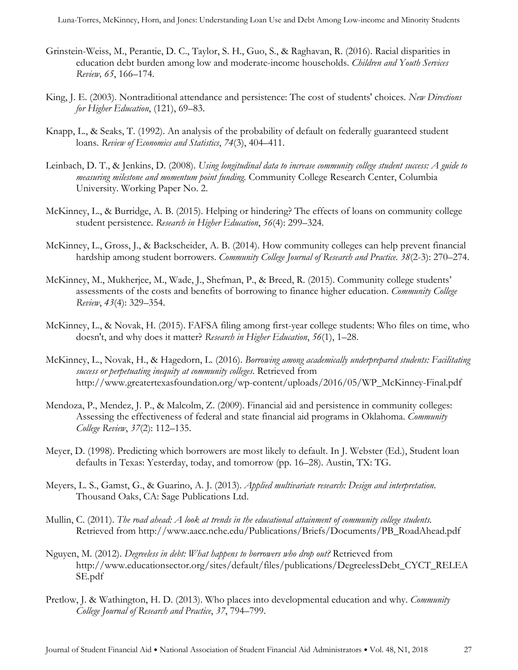- Grinstein-Weiss, M., Perantie, D. C., Taylor, S. H., Guo, S., & Raghavan, R. (2016). Racial disparities in education debt burden among low and moderate-income households. *Children and Youth Services Review, 65*, 166–174.
- King, J. E. (2003). Nontraditional attendance and persistence: The cost of students' choices. *New Directions for Higher Education*, (121), 69–83.
- Knapp, L., & Seaks, T. (1992). An analysis of the probability of default on federally guaranteed student loans. *Review of Economics and Statistics*, *74*(3), 404–411.
- Leinbach, D. T., & Jenkins, D. (2008). *Using longitudinal data to increase community college student success: A guide to measuring milestone and momentum point funding.* Community College Research Center, Columbia University. Working Paper No. 2.
- McKinney, L., & [Burridge,](http://www.refworks.com.ezproxy.lib.uh.edu/refworks2/default.aspx?r=references|MainLayout::init) A. B. (2015). Helping or hindering? The effects of loans on community college student persistence. *Research in Higher Education*, *56*(4): 299–324.
- McKinney, L., Gross, J., & Backscheider, A. B. (2014). How community colleges can help prevent financial hardship among student borrowers. *Community College Journal of Research and Practice. 38*(2-3): 270–274.
- McKinney, M., Mukherjee, M., Wade, J., Shefman, P., & Breed, R. (2015). Community college students' assessments of the costs and benefits of borrowing to finance higher education. *Community College Review*, *43*(4): 329–354.
- McKinney, L., & Novak, H. (2015). FAFSA filing among first-year college students: Who files on time, who doesn't, and why does it matter? *Research in Higher Education*, *56*(1), 1–28.
- McKinney, L., Novak, H., & Hagedorn, L. (2016). *Borrowing among academically underprepared students: Facilitating success or perpetuating inequity at community colleges*. Retrieved from http://www.greatertexasfoundation.org/wp-content/uploads/2016/05/WP\_McKinney-Final.pdf
- Mendoza, P., Mendez, J. P., & Malcolm, Z. (2009). Financial aid and persistence in community colleges: Assessing the effectiveness of federal and state financial aid programs in Oklahoma. *Community College Review*, *37*(2): 112–135.
- Meyer, D. (1998). Predicting which borrowers are most likely to default. In J. Webster (Ed.), Student loan defaults in Texas: Yesterday, today, and tomorrow (pp. 16–28). Austin, TX: TG.
- Meyers, L. S., Gamst, G., & Guarino, A. J. (2013). *Applied multivariate research: Design and interpretation*. Thousand Oaks, CA: Sage Publications Ltd.
- Mullin, C. (2011). *The road ahead: A look at trends in the educational attainment of community college students.* Retrieved from http://www.aacc.nche.edu/Publications/Briefs/Documents/PB\_RoadAhead.pdf
- Nguyen, M. (2012). *Degreeless in debt: What happens to borrowers who drop out?* Retrieved from http://www.educationsector.org/sites/default/files/publications/DegreelessDebt\_CYCT\_RELEA SE.pdf
- Pretlow, J. & Wathington, H. D. (2013). Who places into developmental education and why. *Community College Journal of Research and Practice*, *37*, 794–799.